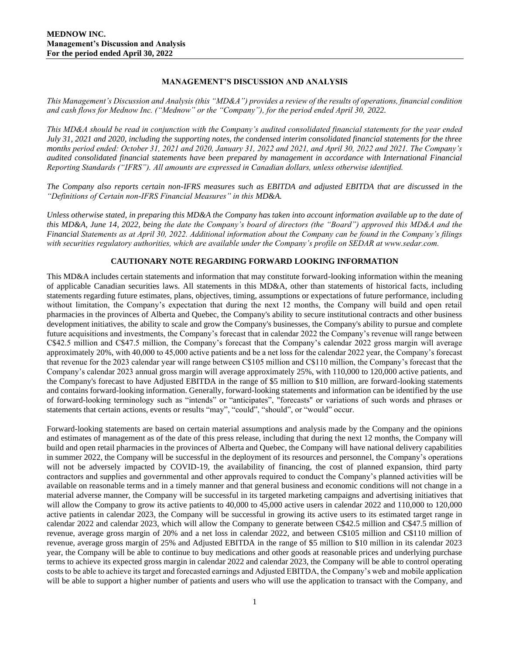## **MANAGEMENT'S DISCUSSION AND ANALYSIS**

*This Management's Discussion and Analysis (this "MD&A") provides a review of the results of operations, financial condition and cash flows for Mednow Inc. ("Mednow" or the "Company"), for the period ended April 30, 2022.*

*This MD&A should be read in conjunction with the Company's audited consolidated financial statements for the year ended July 31, 2021 and 2020, including the supporting notes, the condensed interim consolidated financial statements for the three months period ended: October 31, 2021 and 2020, January 31, 2022 and 2021, and April 30, 2022 and 2021. The Company's audited consolidated financial statements have been prepared by management in accordance with International Financial Reporting Standards ("IFRS"). All amounts are expressed in Canadian dollars, unless otherwise identified.*

*The Company also reports certain non-IFRS measures such as EBITDA and adjusted EBITDA that are discussed in the "Definitions of Certain non-IFRS Financial Measures" in this MD&A.*

*Unless otherwise stated, in preparing this MD&A the Company has taken into account information available up to the date of this MD&A, June 14, 2022, being the date the Company's board of directors (the "Board") approved this MD&A and the Financial Statements as at April 30, 2022. Additional information about the Company can be found in the Company's filings with securities regulatory authorities, which are available under the Company's profile on SEDAR at www.sedar.com.*

# **CAUTIONARY NOTE REGARDING FORWARD LOOKING INFORMATION**

This MD&A includes certain statements and information that may constitute forward-looking information within the meaning of applicable Canadian securities laws. All statements in this MD&A, other than statements of historical facts, including statements regarding future estimates, plans, objectives, timing, assumptions or expectations of future performance, including without limitation, the Company's expectation that during the next 12 months, the Company will build and open retail pharmacies in the provinces of Alberta and Quebec, the Company's ability to secure institutional contracts and other business development initiatives, the ability to scale and grow the Company's businesses, the Company's ability to pursue and complete future acquisitions and investments, the Company's forecast that in calendar 2022 the Company's revenue will range between C\$42.5 million and C\$47.5 million, the Company's forecast that the Company's calendar 2022 gross margin will average approximately 20%, with 40,000 to 45,000 active patients and be a net loss for the calendar 2022 year, the Company's forecast that revenue for the 2023 calendar year will range between C\$105 million and C\$110 million, the Company's forecast that the Company's calendar 2023 annual gross margin will average approximately 25%, with 110,000 to 120,000 active patients, and the Company's forecast to have Adjusted EBITDA in the range of \$5 million to \$10 million, are forward-looking statements and contains forward-looking information. Generally, forward-looking statements and information can be identified by the use of forward-looking terminology such as "intends" or "anticipates", "forecasts" or variations of such words and phrases or statements that certain actions, events or results "may", "could", "should", or "would" occur.

Forward-looking statements are based on certain material assumptions and analysis made by the Company and the opinions and estimates of management as of the date of this press release, including that during the next 12 months, the Company will build and open retail pharmacies in the provinces of Alberta and Quebec, the Company will have national delivery capabilities in summer 2022, the Company will be successful in the deployment of its resources and personnel, the Company's operations will not be adversely impacted by COVID-19, the availability of financing, the cost of planned expansion, third party contractors and supplies and governmental and other approvals required to conduct the Company's planned activities will be available on reasonable terms and in a timely manner and that general business and economic conditions will not change in a material adverse manner, the Company will be successful in its targeted marketing campaigns and advertising initiatives that will allow the Company to grow its active patients to 40,000 to 45,000 active users in calendar 2022 and 110,000 to 120,000 active patients in calendar 2023, the Company will be successful in growing its active users to its estimated target range in calendar 2022 and calendar 2023, which will allow the Company to generate between C\$42.5 million and C\$47.5 million of revenue, average gross margin of 20% and a net loss in calendar 2022, and between C\$105 million and C\$110 million of revenue, average gross margin of 25% and Adjusted EBITDA in the range of \$5 million to \$10 million in its calendar 2023 year, the Company will be able to continue to buy medications and other goods at reasonable prices and underlying purchase terms to achieve its expected gross margin in calendar 2022 and calendar 2023, the Company will be able to control operating costs to be able to achieve its target and forecasted earnings and Adjusted EBITDA, the Company's web and mobile application will be able to support a higher number of patients and users who will use the application to transact with the Company, and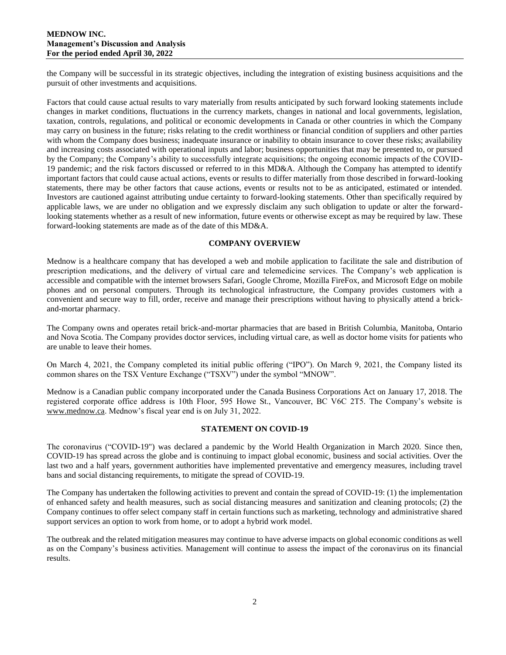## **MEDNOW INC. Management's Discussion and Analysis For the period ended April 30, 2022**

the Company will be successful in its strategic objectives, including the integration of existing business acquisitions and the pursuit of other investments and acquisitions.

Factors that could cause actual results to vary materially from results anticipated by such forward looking statements include changes in market conditions, fluctuations in the currency markets, changes in national and local governments, legislation, taxation, controls, regulations, and political or economic developments in Canada or other countries in which the Company may carry on business in the future; risks relating to the credit worthiness or financial condition of suppliers and other parties with whom the Company does business; inadequate insurance or inability to obtain insurance to cover these risks; availability and increasing costs associated with operational inputs and labor; business opportunities that may be presented to, or pursued by the Company; the Company's ability to successfully integrate acquisitions; the ongoing economic impacts of the COVID-19 pandemic; and the risk factors discussed or referred to in this MD&A. Although the Company has attempted to identify important factors that could cause actual actions, events or results to differ materially from those described in forward-looking statements, there may be other factors that cause actions, events or results not to be as anticipated, estimated or intended. Investors are cautioned against attributing undue certainty to forward-looking statements. Other than specifically required by applicable laws, we are under no obligation and we expressly disclaim any such obligation to update or alter the forwardlooking statements whether as a result of new information, future events or otherwise except as may be required by law. These forward-looking statements are made as of the date of this MD&A.

## **COMPANY OVERVIEW**

Mednow is a healthcare company that has developed a web and mobile application to facilitate the sale and distribution of prescription medications, and the delivery of virtual care and telemedicine services. The Company's web application is accessible and compatible with the internet browsers Safari, Google Chrome, Mozilla FireFox, and Microsoft Edge on mobile phones and on personal computers. Through its technological infrastructure, the Company provides customers with a convenient and secure way to fill, order, receive and manage their prescriptions without having to physically attend a brickand-mortar pharmacy.

The Company owns and operates retail brick-and-mortar pharmacies that are based in British Columbia, Manitoba, Ontario and Nova Scotia. The Company provides doctor services, including virtual care, as well as doctor home visits for patients who are unable to leave their homes.

On March 4, 2021, the Company completed its initial public offering ("IPO"). On March 9, 2021, the Company listed its common shares on the TSX Venture Exchange ("TSXV") under the symbol "MNOW".

Mednow is a Canadian public company incorporated under the Canada Business Corporations Act on January 17, 2018. The registered corporate office address is 10th Floor, 595 Howe St., Vancouver, BC V6C 2T5. The Company's website is [www.mednow.ca.](http://www.mednow.ca/) Mednow's fiscal year end is on July 31, 2022.

### **STATEMENT ON COVID-19**

The coronavirus ("COVID-19") was declared a pandemic by the World Health Organization in March 2020. Since then, COVID-19 has spread across the globe and is continuing to impact global economic, business and social activities. Over the last two and a half years, government authorities have implemented preventative and emergency measures, including travel bans and social distancing requirements, to mitigate the spread of COVID-19.

The Company has undertaken the following activities to prevent and contain the spread of COVID-19: (1) the implementation of enhanced safety and health measures, such as social distancing measures and sanitization and cleaning protocols; (2) the Company continues to offer select company staff in certain functions such as marketing, technology and administrative shared support services an option to work from home, or to adopt a hybrid work model.

The outbreak and the related mitigation measures may continue to have adverse impacts on global economic conditions as well as on the Company's business activities. Management will continue to assess the impact of the coronavirus on its financial results.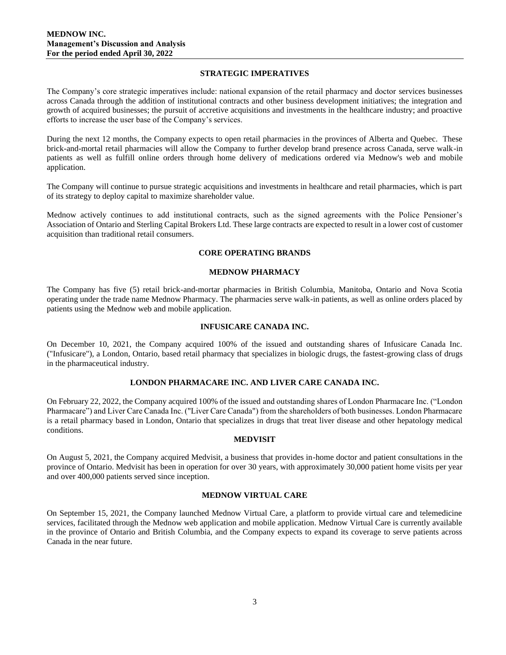## **STRATEGIC IMPERATIVES**

The Company's core strategic imperatives include: national expansion of the retail pharmacy and doctor services businesses across Canada through the addition of institutional contracts and other business development initiatives; the integration and growth of acquired businesses; the pursuit of accretive acquisitions and investments in the healthcare industry; and proactive efforts to increase the user base of the Company's services.

During the next 12 months, the Company expects to open retail pharmacies in the provinces of Alberta and Quebec. These brick-and-mortal retail pharmacies will allow the Company to further develop brand presence across Canada, serve walk-in patients as well as fulfill online orders through home delivery of medications ordered via Mednow's web and mobile application.

The Company will continue to pursue strategic acquisitions and investments in healthcare and retail pharmacies, which is part of its strategy to deploy capital to maximize shareholder value.

Mednow actively continues to add institutional contracts, such as the signed agreements with the Police Pensioner's Association of Ontario and Sterling Capital Brokers Ltd. These large contracts are expected to result in a lower cost of customer acquisition than traditional retail consumers.

## **CORE OPERATING BRANDS**

### **MEDNOW PHARMACY**

The Company has five (5) retail brick-and-mortar pharmacies in British Columbia, Manitoba, Ontario and Nova Scotia operating under the trade name Mednow Pharmacy. The pharmacies serve walk-in patients, as well as online orders placed by patients using the Mednow web and mobile application.

### **INFUSICARE CANADA INC.**

On December 10, 2021, the Company acquired 100% of the issued and outstanding shares of Infusicare Canada Inc. ("Infusicare"), a London, Ontario, based retail pharmacy that specializes in biologic drugs, the fastest-growing class of drugs in the pharmaceutical industry.

# **LONDON PHARMACARE INC. AND LIVER CARE CANADA INC.**

On February 22, 2022, the Company acquired 100% of the issued and outstanding shares of London Pharmacare Inc. ("London Pharmacare") and Liver Care Canada Inc. ("Liver Care Canada") from the shareholders of both businesses. London Pharmacare is a retail pharmacy based in London, Ontario that specializes in drugs that treat liver disease and other hepatology medical conditions.

### **MEDVISIT**

On August 5, 2021, the Company acquired Medvisit, a business that provides in-home doctor and patient consultations in the province of Ontario. Medvisit has been in operation for over 30 years, with approximately 30,000 patient home visits per year and over 400,000 patients served since inception.

### **MEDNOW VIRTUAL CARE**

On September 15, 2021, the Company launched Mednow Virtual Care, a platform to provide virtual care and telemedicine services, facilitated through the Mednow web application and mobile application. Mednow Virtual Care is currently available in the province of Ontario and British Columbia, and the Company expects to expand its coverage to serve patients across Canada in the near future.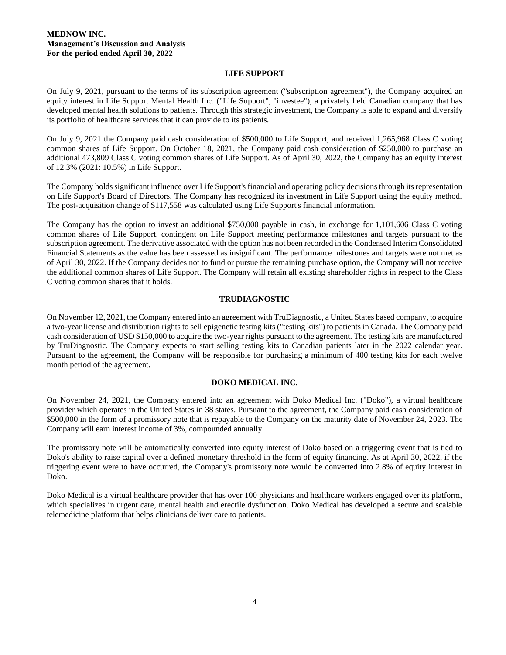## **LIFE SUPPORT**

On July 9, 2021, pursuant to the terms of its subscription agreement ("subscription agreement"), the Company acquired an equity interest in Life Support Mental Health Inc. ("Life Support", "investee"), a privately held Canadian company that has developed mental health solutions to patients. Through this strategic investment, the Company is able to expand and diversify its portfolio of healthcare services that it can provide to its patients.

On July 9, 2021 the Company paid cash consideration of \$500,000 to Life Support, and received 1,265,968 Class C voting common shares of Life Support. On October 18, 2021, the Company paid cash consideration of \$250,000 to purchase an additional 473,809 Class C voting common shares of Life Support. As of April 30, 2022, the Company has an equity interest of 12.3% (2021: 10.5%) in Life Support.

The Company holds significant influence over Life Support's financial and operating policy decisions through its representation on Life Support's Board of Directors. The Company has recognized its investment in Life Support using the equity method. The post-acquisition change of \$117,558 was calculated using Life Support's financial information.

The Company has the option to invest an additional \$750,000 payable in cash, in exchange for 1,101,606 Class C voting common shares of Life Support, contingent on Life Support meeting performance milestones and targets pursuant to the subscription agreement. The derivative associated with the option has not been recorded in the Condensed Interim Consolidated Financial Statements as the value has been assessed as insignificant. The performance milestones and targets were not met as of April 30, 2022. If the Company decides not to fund or pursue the remaining purchase option, the Company will not receive the additional common shares of Life Support. The Company will retain all existing shareholder rights in respect to the Class C voting common shares that it holds.

## **TRUDIAGNOSTIC**

On November 12, 2021, the Company entered into an agreement with TruDiagnostic, a United States based company, to acquire a two-year license and distribution rights to sell epigenetic testing kits ("testing kits") to patients in Canada. The Company paid cash consideration of USD \$150,000 to acquire the two-year rights pursuant to the agreement. The testing kits are manufactured by TruDiagnostic. The Company expects to start selling testing kits to Canadian patients later in the 2022 calendar year. Pursuant to the agreement, the Company will be responsible for purchasing a minimum of 400 testing kits for each twelve month period of the agreement.

# **DOKO MEDICAL INC.**

On November 24, 2021, the Company entered into an agreement with Doko Medical Inc. ("Doko"), a virtual healthcare provider which operates in the United States in 38 states. Pursuant to the agreement, the Company paid cash consideration of \$500,000 in the form of a promissory note that is repayable to the Company on the maturity date of November 24, 2023. The Company will earn interest income of 3%, compounded annually.

The promissory note will be automatically converted into equity interest of Doko based on a triggering event that is tied to Doko's ability to raise capital over a defined monetary threshold in the form of equity financing. As at April 30, 2022, if the triggering event were to have occurred, the Company's promissory note would be converted into 2.8% of equity interest in Doko.

Doko Medical is a virtual healthcare provider that has over 100 physicians and healthcare workers engaged over its platform, which specializes in urgent care, mental health and erectile dysfunction. Doko Medical has developed a secure and scalable telemedicine platform that helps clinicians deliver care to patients.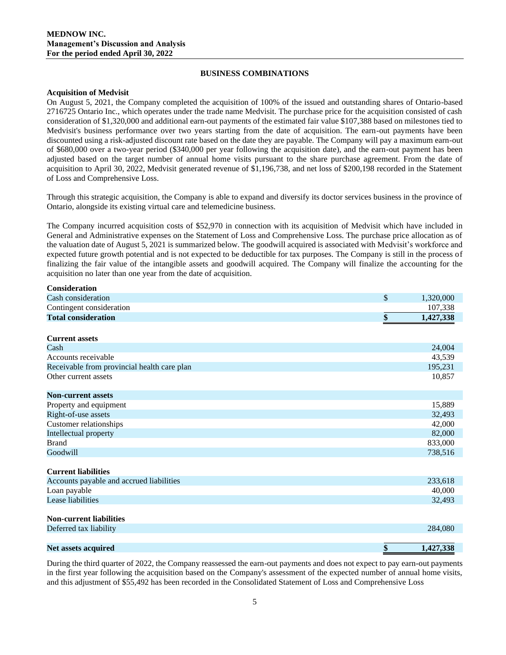## **BUSINESS COMBINATIONS**

## **Acquisition of Medvisit**

On August 5, 2021, the Company completed the acquisition of 100% of the issued and outstanding shares of Ontario-based 2716725 Ontario Inc., which operates under the trade name Medvisit. The purchase price for the acquisition consisted of cash consideration of \$1,320,000 and additional earn-out payments of the estimated fair value \$107,388 based on milestones tied to Medvisit's business performance over two years starting from the date of acquisition. The earn-out payments have been discounted using a risk-adjusted discount rate based on the date they are payable. The Company will pay a maximum earn-out of \$680,000 over a two-year period (\$340,000 per year following the acquisition date), and the earn-out payment has been adjusted based on the target number of annual home visits pursuant to the share purchase agreement. From the date of acquisition to April 30, 2022, Medvisit generated revenue of \$1,196,738, and net loss of \$200,198 recorded in the Statement of Loss and Comprehensive Loss.

Through this strategic acquisition, the Company is able to expand and diversify its doctor services business in the province of Ontario, alongside its existing virtual care and telemedicine business.

The Company incurred acquisition costs of \$52,970 in connection with its acquisition of Medvisit which have included in General and Administrative expenses on the Statement of Loss and Comprehensive Loss. The purchase price allocation as of the valuation date of August 5, 2021 is summarized below. The goodwill acquired is associated with Medvisit's workforce and expected future growth potential and is not expected to be deductible for tax purposes. The Company is still in the process of finalizing the fair value of the intangible assets and goodwill acquired. The Company will finalize the accounting for the acquisition no later than one year from the date of acquisition.

| <b>Consideration</b>                        |                 |
|---------------------------------------------|-----------------|
| Cash consideration                          | \$<br>1,320,000 |
| Contingent consideration                    | 107,338         |
| <b>Total consideration</b>                  | \$<br>1,427,338 |
| <b>Current assets</b>                       |                 |
| Cash                                        | 24,004          |
| Accounts receivable                         | 43,539          |
| Receivable from provincial health care plan | 195,231         |
| Other current assets                        | 10,857          |
| <b>Non-current assets</b>                   |                 |
| Property and equipment                      | 15,889          |
| Right-of-use assets                         | 32,493          |
| Customer relationships                      | 42,000          |
| Intellectual property                       | 82,000          |
| <b>Brand</b>                                | 833,000         |
| Goodwill                                    | 738,516         |
| <b>Current liabilities</b>                  |                 |
| Accounts payable and accrued liabilities    | 233,618         |
| Loan payable                                | 40,000          |
| Lease liabilities                           | 32,493          |
| <b>Non-current liabilities</b>              |                 |
| Deferred tax liability                      | 284,080         |
| <b>Net assets acquired</b>                  | \$<br>1,427,338 |

During the third quarter of 2022, the Company reassessed the earn-out payments and does not expect to pay earn-out payments in the first year following the acquisition based on the Company's assessment of the expected number of annual home visits, and this adjustment of \$55,492 has been recorded in the Consolidated Statement of Loss and Comprehensive Loss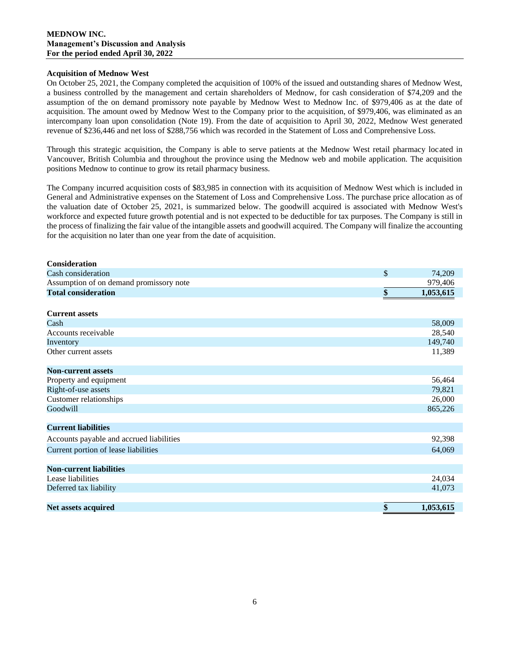## **Acquisition of Mednow West**

On October 25, 2021, the Company completed the acquisition of 100% of the issued and outstanding shares of Mednow West, a business controlled by the management and certain shareholders of Mednow, for cash consideration of \$74,209 and the assumption of the on demand promissory note payable by Mednow West to Mednow Inc. of \$979,406 as at the date of acquisition. The amount owed by Mednow West to the Company prior to the acquisition, of \$979,406, was eliminated as an intercompany loan upon consolidation (Note 19). From the date of acquisition to April 30, 2022, Mednow West generated revenue of \$236,446 and net loss of \$288,756 which was recorded in the Statement of Loss and Comprehensive Loss.

Through this strategic acquisition, the Company is able to serve patients at the Mednow West retail pharmacy located in Vancouver, British Columbia and throughout the province using the Mednow web and mobile application. The acquisition positions Mednow to continue to grow its retail pharmacy business.

The Company incurred acquisition costs of \$83,985 in connection with its acquisition of Mednow West which is included in General and Administrative expenses on the Statement of Loss and Comprehensive Loss. The purchase price allocation as of the valuation date of October 25, 2021, is summarized below. The goodwill acquired is associated with Mednow West's workforce and expected future growth potential and is not expected to be deductible for tax purposes. The Company is still in the process of finalizing the fair value of the intangible assets and goodwill acquired. The Company will finalize the accounting for the acquisition no later than one year from the date of acquisition.

| <b>Consideration</b>                     |                 |
|------------------------------------------|-----------------|
| Cash consideration                       | \$<br>74,209    |
| Assumption of on demand promissory note  | 979,406         |
| <b>Total consideration</b>               | \$<br>1,053,615 |
|                                          |                 |
| <b>Current assets</b>                    |                 |
| Cash                                     | 58,009          |
| Accounts receivable                      | 28,540          |
| Inventory                                | 149,740         |
| Other current assets                     | 11,389          |
|                                          |                 |
| <b>Non-current assets</b>                |                 |
| Property and equipment                   | 56,464          |
| Right-of-use assets                      | 79,821          |
| Customer relationships                   | 26,000          |
| Goodwill                                 | 865,226         |
|                                          |                 |
| <b>Current liabilities</b>               |                 |
| Accounts payable and accrued liabilities | 92,398          |
| Current portion of lease liabilities     | 64,069          |
|                                          |                 |
| <b>Non-current liabilities</b>           |                 |
| Lease liabilities                        | 24,034          |
| Deferred tax liability                   | 41,073          |
|                                          |                 |
| Net assets acquired                      | \$<br>1,053,615 |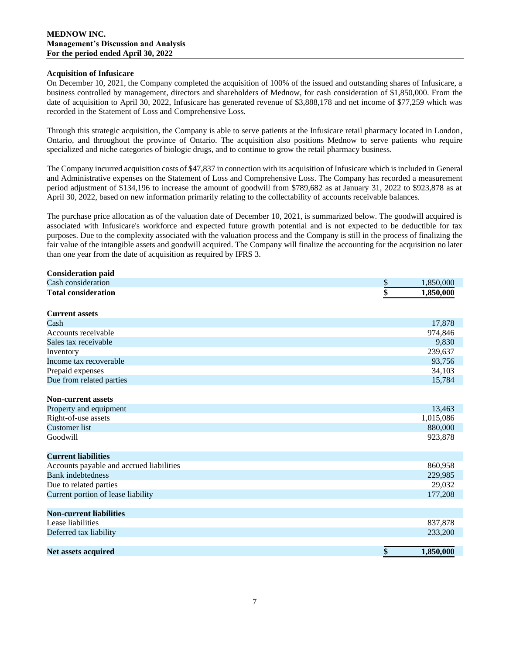## **Acquisition of Infusicare**

On December 10, 2021, the Company completed the acquisition of 100% of the issued and outstanding shares of Infusicare, a business controlled by management, directors and shareholders of Mednow, for cash consideration of \$1,850,000. From the date of acquisition to April 30, 2022, Infusicare has generated revenue of \$3,888,178 and net income of \$77,259 which was recorded in the Statement of Loss and Comprehensive Loss.

Through this strategic acquisition, the Company is able to serve patients at the Infusicare retail pharmacy located in London, Ontario, and throughout the province of Ontario. The acquisition also positions Mednow to serve patients who require specialized and niche categories of biologic drugs, and to continue to grow the retail pharmacy business.

The Company incurred acquisition costs of \$47,837 in connection with its acquisition of Infusicare which is included in General and Administrative expenses on the Statement of Loss and Comprehensive Loss. The Company has recorded a measurement period adjustment of \$134,196 to increase the amount of goodwill from \$789,682 as at January 31, 2022 to \$923,878 as at April 30, 2022, based on new information primarily relating to the collectability of accounts receivable balances.

The purchase price allocation as of the valuation date of December 10, 2021, is summarized below. The goodwill acquired is associated with Infusicare's workforce and expected future growth potential and is not expected to be deductible for tax purposes. Due to the complexity associated with the valuation process and the Company is still in the process of finalizing the fair value of the intangible assets and goodwill acquired. The Company will finalize the accounting for the acquisition no later than one year from the date of acquisition as required by IFRS 3.

| <b>Consideration paid</b>                |                              |
|------------------------------------------|------------------------------|
| Cash consideration                       | \$<br>1,850,000              |
| <b>Total consideration</b>               | $\overline{\$}$<br>1,850,000 |
|                                          |                              |
| <b>Current assets</b>                    |                              |
| Cash                                     | 17,878                       |
| Accounts receivable                      | 974,846                      |
| Sales tax receivable                     | 9,830                        |
| Inventory                                | 239,637                      |
| Income tax recoverable                   | 93,756                       |
| Prepaid expenses                         | 34,103                       |
| Due from related parties                 | 15,784                       |
|                                          |                              |
| <b>Non-current assets</b>                |                              |
| Property and equipment                   | 13,463                       |
| Right-of-use assets                      | 1,015,086                    |
| <b>Customer</b> list                     | 880,000                      |
| Goodwill                                 | 923,878                      |
| <b>Current liabilities</b>               |                              |
|                                          |                              |
| Accounts payable and accrued liabilities | 860,958                      |
| <b>Bank</b> indebtedness                 | 229,985                      |
| Due to related parties                   | 29,032                       |
| Current portion of lease liability       | 177,208                      |
| <b>Non-current liabilities</b>           |                              |
| Lease liabilities                        | 837,878                      |
| Deferred tax liability                   | 233,200                      |
|                                          |                              |
| <b>Net assets acquired</b>               | \$<br>1,850,000              |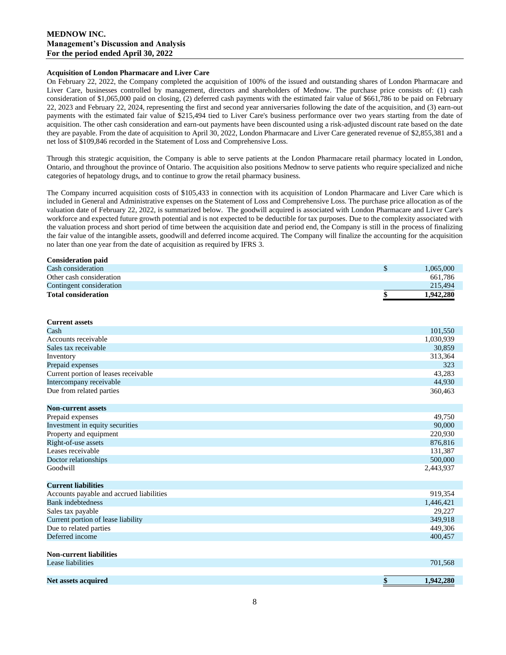### **MEDNOW INC. Management's Discussion and Analysis For the period ended April 30, 2022**

#### **Acquisition of London Pharmacare and Liver Care**

On February 22, 2022, the Company completed the acquisition of 100% of the issued and outstanding shares of London Pharmacare and Liver Care, businesses controlled by management, directors and shareholders of Mednow. The purchase price consists of: (1) cash consideration of \$1,065,000 paid on closing, (2) deferred cash payments with the estimated fair value of \$661,786 to be paid on February 22, 2023 and February 22, 2024, representing the first and second year anniversaries following the date of the acquisition, and (3) earn-out payments with the estimated fair value of \$215,494 tied to Liver Care's business performance over two years starting from the date of acquisition. The other cash consideration and earn-out payments have been discounted using a risk-adjusted discount rate based on the date they are payable. From the date of acquisition to April 30, 2022, London Pharmacare and Liver Care generated revenue of \$2,855,381 and a net loss of \$109,846 recorded in the Statement of Loss and Comprehensive Loss.

Through this strategic acquisition, the Company is able to serve patients at the London Pharmacare retail pharmacy located in London, Ontario, and throughout the province of Ontario. The acquisition also positions Mednow to serve patients who require specialized and niche categories of hepatology drugs, and to continue to grow the retail pharmacy business.

The Company incurred acquisition costs of \$105,433 in connection with its acquisition of London Pharmacare and Liver Care which is included in General and Administrative expenses on the Statement of Loss and Comprehensive Loss. The purchase price allocation as of the valuation date of February 22, 2022, is summarized below. The goodwill acquired is associated with London Pharmacare and Liver Care's workforce and expected future growth potential and is not expected to be deductible for tax purposes. Due to the complexity associated with the valuation process and short period of time between the acquisition date and period end, the Company is still in the process of finalizing the fair value of the intangible assets, goodwill and deferred income acquired. The Company will finalize the accounting for the acquisition no later than one year from the date of acquisition as required by IFRS 3.

| <b>Consideration paid</b>  |           |
|----------------------------|-----------|
| Cash consideration         | 1,065,000 |
| Other cash consideration   | 661,786   |
| Contingent consideration   | 215,494   |
| <b>Total consideration</b> | 1,942,280 |
|                            |           |

| <b>Current assets</b>                    |           |
|------------------------------------------|-----------|
| Cash                                     | 101,550   |
| Accounts receivable                      | 1,030,939 |
| Sales tax receivable                     | 30,859    |
| Inventory                                | 313,364   |
| Prepaid expenses                         | 323       |
| Current portion of leases receivable     | 43,283    |
| Intercompany receivable                  | 44,930    |
| Due from related parties                 | 360,463   |
|                                          |           |
| <b>Non-current assets</b>                |           |
| Prepaid expenses                         | 49,750    |
| Investment in equity securities          | 90,000    |
| Property and equipment                   | 220,930   |
| Right-of-use assets                      | 876,816   |
| Leases receivable                        | 131,387   |
| Doctor relationships                     | 500,000   |
| Goodwill                                 | 2,443,937 |
|                                          |           |
| <b>Current liabilities</b>               |           |
| Accounts payable and accrued liabilities | 919,354   |
| <b>Bank</b> indebtedness                 | 1,446,421 |
| Sales tax payable                        | 29,227    |
| Current portion of lease liability       | 349,918   |
| Due to related parties                   | 449,306   |
| Deferred income                          | 400,457   |
|                                          |           |
| <b>Non-current liabilities</b>           |           |
| Lease liabilities                        | 701,568   |
|                                          |           |

**Net assets acquired \$ 1,942,280**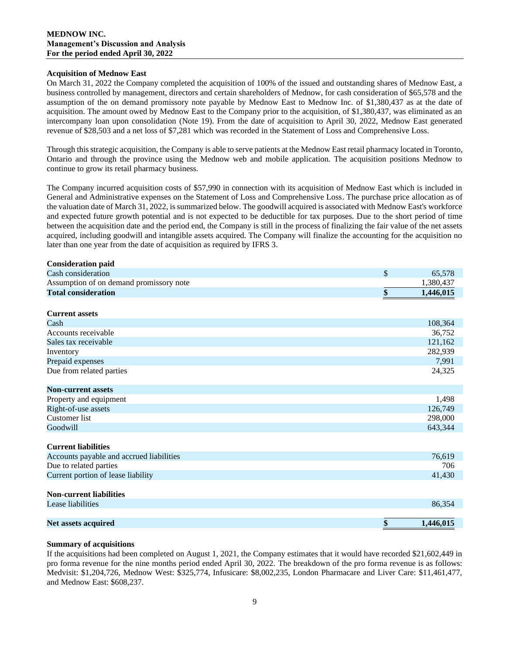### **Acquisition of Mednow East**

On March 31, 2022 the Company completed the acquisition of 100% of the issued and outstanding shares of Mednow East, a business controlled by management, directors and certain shareholders of Mednow, for cash consideration of \$65,578 and the assumption of the on demand promissory note payable by Mednow East to Mednow Inc. of \$1,380,437 as at the date of acquisition. The amount owed by Mednow East to the Company prior to the acquisition, of \$1,380,437, was eliminated as an intercompany loan upon consolidation (Note 19). From the date of acquisition to April 30, 2022, Mednow East generated revenue of \$28,503 and a net loss of \$7,281 which was recorded in the Statement of Loss and Comprehensive Loss.

Through this strategic acquisition, the Company is able to serve patients at the Mednow East retail pharmacy located in Toronto, Ontario and through the province using the Mednow web and mobile application. The acquisition positions Mednow to continue to grow its retail pharmacy business.

The Company incurred acquisition costs of \$57,990 in connection with its acquisition of Mednow East which is included in General and Administrative expenses on the Statement of Loss and Comprehensive Loss. The purchase price allocation as of the valuation date of March 31, 2022, is summarized below. The goodwill acquired is associated with Mednow East's workforce and expected future growth potential and is not expected to be deductible for tax purposes. Due to the short period of time between the acquisition date and the period end, the Company is still in the process of finalizing the fair value of the net assets acquired, including goodwill and intangible assets acquired. The Company will finalize the accounting for the acquisition no later than one year from the date of acquisition as required by IFRS 3.

| <b>Consideration paid</b>                |                 |
|------------------------------------------|-----------------|
| Cash consideration                       | \$<br>65,578    |
| Assumption of on demand promissory note  | 1,380,437       |
| <b>Total consideration</b>               | \$<br>1,446,015 |
|                                          |                 |
| <b>Current assets</b>                    |                 |
| Cash                                     | 108,364         |
| Accounts receivable                      | 36,752          |
| Sales tax receivable                     | 121,162         |
| Inventory                                | 282,939         |
| Prepaid expenses                         | 7,991           |
| Due from related parties                 | 24,325          |
|                                          |                 |
| <b>Non-current assets</b>                |                 |
| Property and equipment                   | 1,498           |
| Right-of-use assets                      | 126,749         |
| <b>Customer</b> list                     | 298,000         |
| Goodwill                                 | 643,344         |
|                                          |                 |
| <b>Current liabilities</b>               |                 |
| Accounts payable and accrued liabilities | 76,619          |
| Due to related parties                   | 706             |
| Current portion of lease liability       | 41,430          |
|                                          |                 |
| <b>Non-current liabilities</b>           |                 |
| Lease liabilities                        | 86,354          |
|                                          |                 |
| Net assets acquired                      | \$<br>1,446,015 |

#### **Summary of acquisitions**

If the acquisitions had been completed on August 1, 2021, the Company estimates that it would have recorded \$21,602,449 in pro forma revenue for the nine months period ended April 30, 2022. The breakdown of the pro forma revenue is as follows: Medvisit: \$1,204,726, Mednow West: \$325,774, Infusicare: \$8,002,235, London Pharmacare and Liver Care: \$11,461,477, and Mednow East: \$608,237.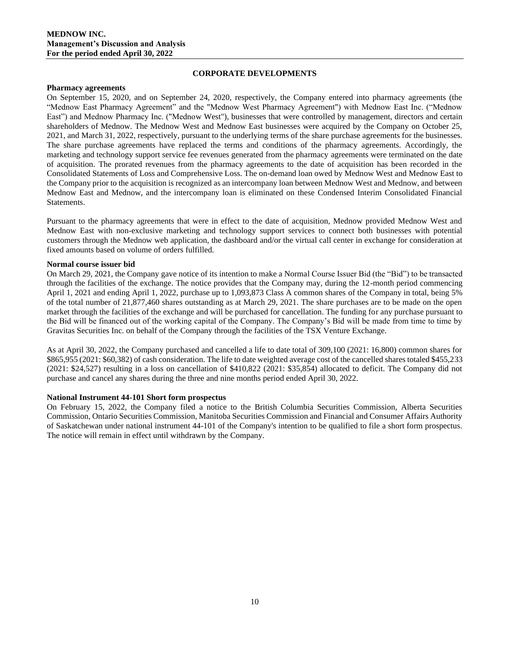## **CORPORATE DEVELOPMENTS**

#### **Pharmacy agreements**

On September 15, 2020, and on September 24, 2020, respectively, the Company entered into pharmacy agreements (the "Mednow East Pharmacy Agreement" and the "Mednow West Pharmacy Agreement") with Mednow East Inc. ("Mednow East") and Mednow Pharmacy Inc. ("Mednow West"), businesses that were controlled by management, directors and certain shareholders of Mednow. The Mednow West and Mednow East businesses were acquired by the Company on October 25, 2021, and March 31, 2022, respectively, pursuant to the underlying terms of the share purchase agreements for the businesses. The share purchase agreements have replaced the terms and conditions of the pharmacy agreements. Accordingly, the marketing and technology support service fee revenues generated from the pharmacy agreements were terminated on the date of acquisition. The prorated revenues from the pharmacy agreements to the date of acquisition has been recorded in the Consolidated Statements of Loss and Comprehensive Loss. The on-demand loan owed by Mednow West and Mednow East to the Company prior to the acquisition is recognized as an intercompany loan between Mednow West and Mednow, and between Mednow East and Mednow, and the intercompany loan is eliminated on these Condensed Interim Consolidated Financial Statements.

Pursuant to the pharmacy agreements that were in effect to the date of acquisition, Mednow provided Mednow West and Mednow East with non-exclusive marketing and technology support services to connect both businesses with potential customers through the Mednow web application, the dashboard and/or the virtual call center in exchange for consideration at fixed amounts based on volume of orders fulfilled.

### **Normal course issuer bid**

On March 29, 2021, the Company gave notice of its intention to make a Normal Course Issuer Bid (the "Bid") to be transacted through the facilities of the exchange. The notice provides that the Company may, during the 12-month period commencing April 1, 2021 and ending April 1, 2022, purchase up to 1,093,873 Class A common shares of the Company in total, being 5% of the total number of 21,877,460 shares outstanding as at March 29, 2021. The share purchases are to be made on the open market through the facilities of the exchange and will be purchased for cancellation. The funding for any purchase pursuant to the Bid will be financed out of the working capital of the Company. The Company's Bid will be made from time to time by Gravitas Securities Inc. on behalf of the Company through the facilities of the TSX Venture Exchange.

As at April 30, 2022, the Company purchased and cancelled a life to date total of 309,100 (2021: 16,800) common shares for \$865,955 (2021: \$60,382) of cash consideration. The life to date weighted average cost of the cancelled shares totaled \$455,233 (2021: \$24,527) resulting in a loss on cancellation of \$410,822 (2021: \$35,854) allocated to deficit. The Company did not purchase and cancel any shares during the three and nine months period ended April 30, 2022.

### **National Instrument 44-101 Short form prospectus**

On February 15, 2022, the Company filed a notice to the British Columbia Securities Commission, Alberta Securities Commission, Ontario Securities Commission, Manitoba Securities Commission and Financial and Consumer Affairs Authority of Saskatchewan under national instrument 44-101 of the Company's intention to be qualified to file a short form prospectus. The notice will remain in effect until withdrawn by the Company.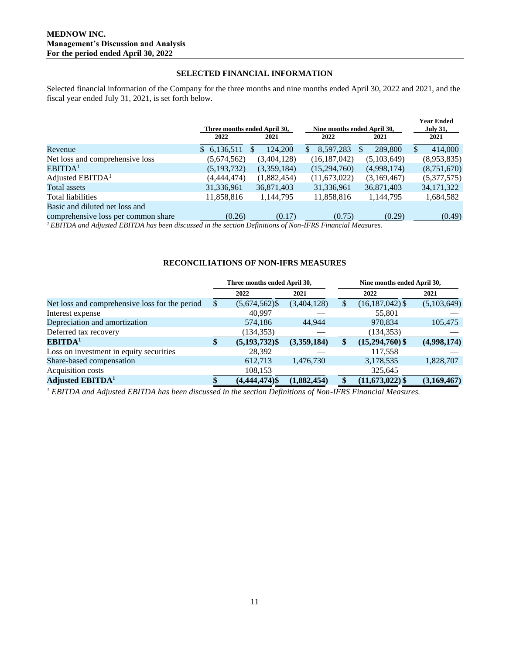## **SELECTED FINANCIAL INFORMATION**

Selected financial information of the Company for the three months and nine months ended April 30, 2022 and 2021, and the fiscal year ended July 31, 2021, is set forth below.

|                                     | Three months ended April 30, |                | Nine months ended April 30, | <b>Year Ended</b><br><b>July 31,</b> |                          |
|-------------------------------------|------------------------------|----------------|-----------------------------|--------------------------------------|--------------------------|
|                                     | 2022                         | 2021           | 2022                        | 2021                                 | 2021                     |
| Revenue                             | \$6,136,511                  | 124,200<br>\$. | 8.597.283<br>S.             | 289,800<br><sup>\$</sup>             | 414,000<br><sup>\$</sup> |
| Net loss and comprehensive loss     | (5,674,562)                  | (3,404,128)    | (16, 187, 042)              | (5,103,649)                          | (8,953,835)              |
| EBITDA <sup>1</sup>                 | (5, 193, 732)                | (3,359,184)    | (15,294,760)                | (4,998,174)                          | (8,751,670)              |
| Adjusted EBITDA <sup>1</sup>        | (4,444,474)                  | (1,882,454)    | (11,673,022)                | (3,169,467)                          | (5,377,575)              |
| Total assets                        | 31,336,961                   | 36,871,403     | 31,336,961                  | 36,871,403                           | 34, 171, 322             |
| Total liabilities                   | 11,858,816                   | 1,144,795      | 11,858,816                  | 1,144,795                            | 1,684,582                |
| Basic and diluted net loss and      |                              |                |                             |                                      |                          |
| comprehensive loss per common share | (0.26)                       | (0.17)         | (0.75)                      | (0.29)                               | (0.49)                   |

*<sup>1</sup>EBITDA and Adjusted EBITDA has been discussed in the section Definitions of Non-IFRS Financial Measures.*

### **RECONCILIATIONS OF NON-IFRS MEASURES**

|                                                | Three months ended April 30, |                  |             |    | Nine months ended April 30, |             |
|------------------------------------------------|------------------------------|------------------|-------------|----|-----------------------------|-------------|
|                                                |                              | 2022             | 2021        |    | 2022                        | 2021        |
| Net loss and comprehensive loss for the period | S                            | $(5,674,562)$ \$ | (3,404,128) | .ъ | $(16, 187, 042)$ \$         | (5,103,649) |
| Interest expense                               |                              | 40,997           |             |    | 55,801                      |             |
| Depreciation and amortization                  |                              | 574,186          | 44.944      |    | 970,834                     | 105,475     |
| Deferred tax recovery                          |                              | (134, 353)       |             |    | (134, 353)                  |             |
| EBITDA <sup>1</sup>                            | \$                           | $(5, 193, 732)\$ | (3,359,184) |    | $(15,294,760)$ \$           | (4,998,174) |
| Loss on investment in equity securities        |                              | 28,392           |             |    | 117,558                     |             |
| Share-based compensation                       |                              | 612,713          | 1,476,730   |    | 3,178,535                   | 1,828,707   |
| Acquisition costs                              |                              | 108,153          |             |    | 325,645                     |             |
| <b>Adjusted EBITDA</b> <sup>1</sup>            |                              | $(4,444,474)$ \$ | (1,882,454) |    | $(11,673,022)$ \$           | (3,169,467) |

*<sup>1</sup> EBITDA and Adjusted EBITDA has been discussed in the section Definitions of Non-IFRS Financial Measures.*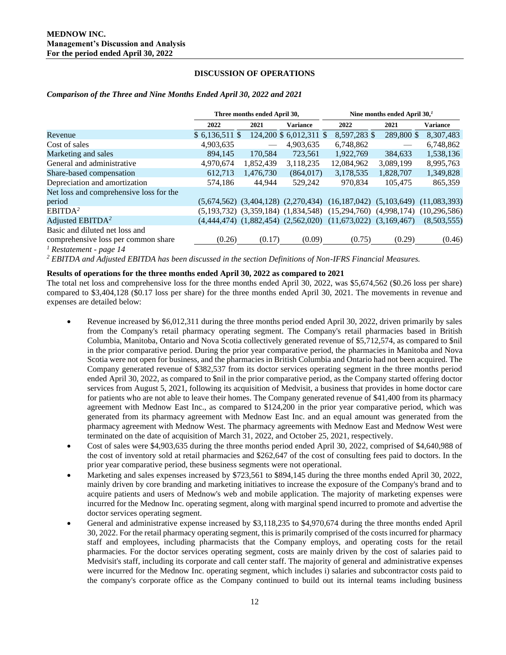## **DISCUSSION OF OPERATIONS**

#### *Comparison of the Three and Nine Months Ended April 30, 2022 and 2021*

|                                         |                 | Three months ended April 30, |                                           | Nine months ended April $301$                                          |            |                 |  |
|-----------------------------------------|-----------------|------------------------------|-------------------------------------------|------------------------------------------------------------------------|------------|-----------------|--|
|                                         | 2022            | 2021                         | <b>Variance</b>                           | 2022                                                                   | 2021       | <b>Variance</b> |  |
| Revenue                                 | $$6,136,511$ \$ |                              | 124,200 \$ 6,012,311 \$                   | 8,597,283 \$                                                           | 289,800 \$ | 8,307,483       |  |
| Cost of sales                           | 4,903,635       |                              | 4,903,635                                 | 6.748.862                                                              |            | 6,748,862       |  |
| Marketing and sales                     | 894,145         | 170.584                      | 723,561                                   | 1,922,769                                                              | 384.633    | 1,538,136       |  |
| General and administrative              | 4,970,674       | 1,852,439                    | 3,118,235                                 | 12,084,962                                                             | 3,089,199  | 8,995,763       |  |
| Share-based compensation                | 612,713         | 1,476,730                    | (864, 017)                                | 3,178,535                                                              | 1,828,707  | 1,349,828       |  |
| Depreciation and amortization           | 574.186         | 44.944                       | 529,242                                   | 970,834                                                                | 105,475    | 865,359         |  |
| Net loss and comprehensive loss for the |                 |                              |                                           |                                                                        |            |                 |  |
| period                                  |                 |                              | $(5,674,562)$ $(3,404,128)$ $(2,270,434)$ | $(16, 187, 042)$ $(5, 103, 649)$                                       |            | (11,083,393)    |  |
| EBITDA <sup>2</sup>                     |                 |                              |                                           | $(5,193,732)$ $(3,359,184)$ $(1,834,548)$ $(15,294,760)$ $(4,998,174)$ |            | (10, 296, 586)  |  |
| Adjusted EBITDA <sup>2</sup>            |                 |                              | $(4,444,474)$ $(1,882,454)$ $(2,562,020)$ | $(11,673,022)$ $(3,169,467)$                                           |            | (8,503,555)     |  |
| Basic and diluted net loss and          |                 |                              |                                           |                                                                        |            |                 |  |
| comprehensive loss per common share     | (0.26)          | (0.17)                       | (0.09)                                    | (0.75)                                                                 | (0.29)     | (0.46)          |  |

*<sup>1</sup> Restatement - page 14*

*<sup>2</sup> EBITDA and Adjusted EBITDA has been discussed in the section Definitions of Non-IFRS Financial Measures.*

### **Results of operations for the three months ended April 30, 2022 as compared to 2021**

The total net loss and comprehensive loss for the three months ended April 30, 2022, was \$5,674,562 (\$0.26 loss per share) compared to \$3,404,128 (\$0.17 loss per share) for the three months ended April 30, 2021. The movements in revenue and expenses are detailed below:

- Revenue increased by \$6,012,311 during the three months period ended April 30, 2022, driven primarily by sales from the Company's retail pharmacy operating segment. The Company's retail pharmacies based in British Columbia, Manitoba, Ontario and Nova Scotia collectively generated revenue of \$5,712,574, as compared to \$nil in the prior comparative period. During the prior year comparative period, the pharmacies in Manitoba and Nova Scotia were not open for business, and the pharmacies in British Columbia and Ontario had not been acquired. The Company generated revenue of \$382,537 from its doctor services operating segment in the three months period ended April 30, 2022, as compared to \$nil in the prior comparative period, as the Company started offering doctor services from August 5, 2021, following its acquisition of Medvisit, a business that provides in home doctor care for patients who are not able to leave their homes. The Company generated revenue of \$41,400 from its pharmacy agreement with Mednow East Inc., as compared to \$124,200 in the prior year comparative period, which was generated from its pharmacy agreement with Mednow East Inc. and an equal amount was generated from the pharmacy agreement with Mednow West. The pharmacy agreements with Mednow East and Mednow West were terminated on the date of acquisition of March 31, 2022, and October 25, 2021, respectively.
- Cost of sales were \$4,903,635 during the three months period ended April 30, 2022, comprised of \$4,640,988 of the cost of inventory sold at retail pharmacies and \$262,647 of the cost of consulting fees paid to doctors. In the prior year comparative period, these business segments were not operational.
- Marketing and sales expenses increased by \$723,561 to \$894,145 during the three months ended April 30, 2022, mainly driven by core branding and marketing initiatives to increase the exposure of the Company's brand and to acquire patients and users of Mednow's web and mobile application. The majority of marketing expenses were incurred for the Mednow Inc. operating segment, along with marginal spend incurred to promote and advertise the doctor services operating segment.
- General and administrative expense increased by \$3,118,235 to \$4,970,674 during the three months ended April 30, 2022. For the retail pharmacy operating segment, this is primarily comprised of the costs incurred for pharmacy staff and employees, including pharmacists that the Company employs, and operating costs for the retail pharmacies. For the doctor services operating segment, costs are mainly driven by the cost of salaries paid to Medvisit's staff, including its corporate and call center staff. The majority of general and administrative expenses were incurred for the Mednow Inc. operating segment, which includes i) salaries and subcontractor costs paid to the company's corporate office as the Company continued to build out its internal teams including business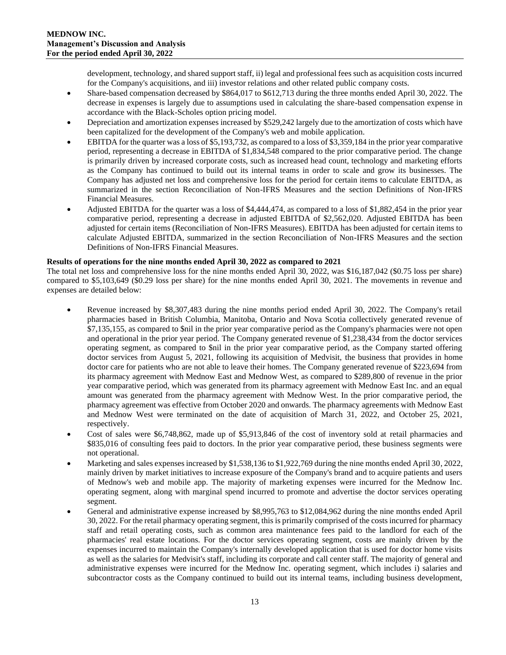development, technology, and shared support staff, ii) legal and professional fees such as acquisition costs incurred for the Company's acquisitions, and iii) investor relations and other related public company costs.

- Share-based compensation decreased by \$864,017 to \$612,713 during the three months ended April 30, 2022. The decrease in expenses is largely due to assumptions used in calculating the share-based compensation expense in accordance with the Black-Scholes option pricing model.
- Depreciation and amortization expenses increased by \$529,242 largely due to the amortization of costs which have been capitalized for the development of the Company's web and mobile application.
- EBITDA for the quarter was a loss of \$5,193,732, as compared to a loss of \$3,359,184 in the prior year comparative period, representing a decrease in EBITDA of \$1,834,548 compared to the prior comparative period. The change is primarily driven by increased corporate costs, such as increased head count, technology and marketing efforts as the Company has continued to build out its internal teams in order to scale and grow its businesses. The Company has adjusted net loss and comprehensive loss for the period for certain items to calculate EBITDA, as summarized in the section Reconciliation of Non-IFRS Measures and the section Definitions of Non-IFRS Financial Measures.
- Adjusted EBITDA for the quarter was a loss of \$4,444,474, as compared to a loss of \$1,882,454 in the prior year comparative period, representing a decrease in adjusted EBITDA of \$2,562,020. Adjusted EBITDA has been adjusted for certain items (Reconciliation of Non-IFRS Measures). EBITDA has been adjusted for certain items to calculate Adjusted EBITDA, summarized in the section Reconciliation of Non-IFRS Measures and the section Definitions of Non-IFRS Financial Measures.

## **Results of operations for the nine months ended April 30, 2022 as compared to 2021**

The total net loss and comprehensive loss for the nine months ended April 30, 2022, was \$16,187,042 (\$0.75 loss per share) compared to \$5,103,649 (\$0.29 loss per share) for the nine months ended April 30, 2021. The movements in revenue and expenses are detailed below:

- Revenue increased by \$8,307,483 during the nine months period ended April 30, 2022. The Company's retail pharmacies based in British Columbia, Manitoba, Ontario and Nova Scotia collectively generated revenue of \$7,135,155, as compared to \$nil in the prior year comparative period as the Company's pharmacies were not open and operational in the prior year period. The Company generated revenue of \$1,238,434 from the doctor services operating segment, as compared to \$nil in the prior year comparative period, as the Company started offering doctor services from August 5, 2021, following its acquisition of Medvisit, the business that provides in home doctor care for patients who are not able to leave their homes. The Company generated revenue of \$223,694 from its pharmacy agreement with Mednow East and Mednow West, as compared to \$289,800 of revenue in the prior year comparative period, which was generated from its pharmacy agreement with Mednow East Inc. and an equal amount was generated from the pharmacy agreement with Mednow West. In the prior comparative period, the pharmacy agreement was effective from October 2020 and onwards. The pharmacy agreements with Mednow East and Mednow West were terminated on the date of acquisition of March 31, 2022, and October 25, 2021, respectively.
- Cost of sales were \$6,748,862, made up of \$5,913,846 of the cost of inventory sold at retail pharmacies and \$835,016 of consulting fees paid to doctors. In the prior year comparative period, these business segments were not operational.
- Marketing and sales expenses increased by \$1,538,136 to \$1,922,769 during the nine months ended April 30, 2022, mainly driven by market initiatives to increase exposure of the Company's brand and to acquire patients and users of Mednow's web and mobile app. The majority of marketing expenses were incurred for the Mednow Inc. operating segment, along with marginal spend incurred to promote and advertise the doctor services operating segment.
- General and administrative expense increased by \$8,995,763 to \$12,084,962 during the nine months ended April 30, 2022. For the retail pharmacy operating segment, this is primarily comprised of the costs incurred for pharmacy staff and retail operating costs, such as common area maintenance fees paid to the landlord for each of the pharmacies' real estate locations. For the doctor services operating segment, costs are mainly driven by the expenses incurred to maintain the Company's internally developed application that is used for doctor home visits as well as the salaries for Medvisit's staff, including its corporate and call center staff. The majority of general and administrative expenses were incurred for the Mednow Inc. operating segment, which includes i) salaries and subcontractor costs as the Company continued to build out its internal teams, including business development,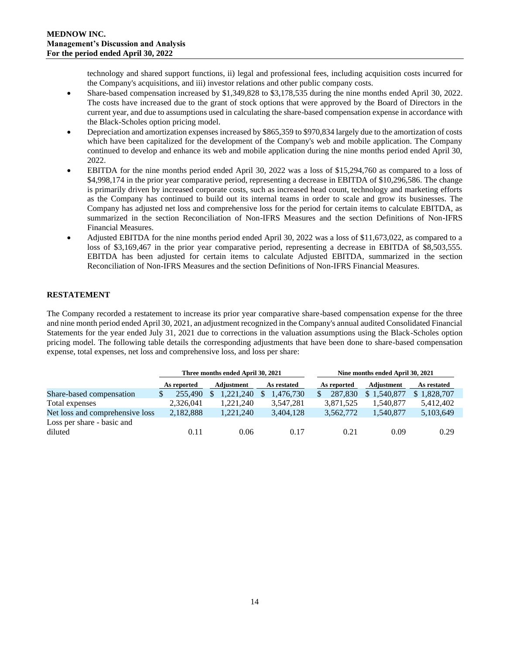technology and shared support functions, ii) legal and professional fees, including acquisition costs incurred for the Company's acquisitions, and iii) investor relations and other public company costs.

- Share-based compensation increased by \$1,349,828 to \$3,178,535 during the nine months ended April 30, 2022. The costs have increased due to the grant of stock options that were approved by the Board of Directors in the current year, and due to assumptions used in calculating the share-based compensation expense in accordance with the Black-Scholes option pricing model.
- Depreciation and amortization expenses increased by \$865,359 to \$970,834 largely due to the amortization of costs which have been capitalized for the development of the Company's web and mobile application. The Company continued to develop and enhance its web and mobile application during the nine months period ended April 30, 2022.
- EBITDA for the nine months period ended April 30, 2022 was a loss of \$15,294,760 as compared to a loss of \$4,998,174 in the prior year comparative period, representing a decrease in EBITDA of \$10,296,586. The change is primarily driven by increased corporate costs, such as increased head count, technology and marketing efforts as the Company has continued to build out its internal teams in order to scale and grow its businesses. The Company has adjusted net loss and comprehensive loss for the period for certain items to calculate EBITDA, as summarized in the section Reconciliation of Non-IFRS Measures and the section Definitions of Non-IFRS Financial Measures.
- Adjusted EBITDA for the nine months period ended April 30, 2022 was a loss of \$11,673,022, as compared to a loss of \$3,169,467 in the prior year comparative period, representing a decrease in EBITDA of \$8,503,555. EBITDA has been adjusted for certain items to calculate Adjusted EBITDA, summarized in the section Reconciliation of Non-IFRS Measures and the section Definitions of Non-IFRS Financial Measures.

# **RESTATEMENT**

The Company recorded a restatement to increase its prior year comparative share-based compensation expense for the three and nine month period ended April 30, 2021, an adjustment recognized in the Company's annual audited Consolidated Financial Statements for the year ended July 31, 2021 due to corrections in the valuation assumptions using the Black-Scholes option pricing model. The following table details the corresponding adjustments that have been done to share-based compensation expense, total expenses, net loss and comprehensive loss, and loss per share:

|                                       |             | Three months ended April 30, 2021 |             | Nine months ended April 30, 2021 |                   |             |  |  |
|---------------------------------------|-------------|-----------------------------------|-------------|----------------------------------|-------------------|-------------|--|--|
|                                       | As reported | Adjustment                        | As restated | As reported                      | <b>Adjustment</b> | As restated |  |  |
| Share-based compensation              | 255,490     | 1.221.240                         | 1.476.730   | 287,830                          | \$1,540,877       | \$1,828,707 |  |  |
| Total expenses                        | 2,326,041   | 1,221,240                         | 3,547,281   | 3,871,525                        | 1,540,877         | 5,412,402   |  |  |
| Net loss and comprehensive loss       | 2,182,888   | 1,221,240                         | 3,404,128   | 3,562,772                        | 1,540,877         | 5,103,649   |  |  |
| Loss per share - basic and<br>diluted | 0.11        | 0.06                              | 0.17        | 0.21                             | 0.09              | 0.29        |  |  |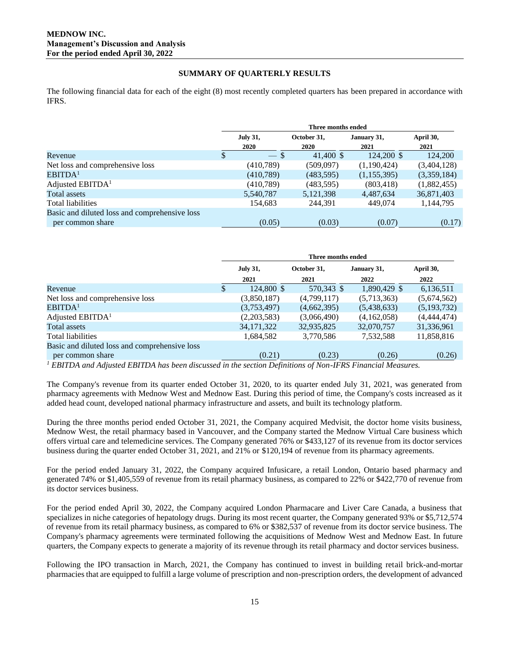## **SUMMARY OF QUARTERLY RESULTS**

The following financial data for each of the eight (8) most recently completed quarters has been prepared in accordance with IFRS.

|                                               | Three months ended |                         |                            |                     |                   |  |
|-----------------------------------------------|--------------------|-------------------------|----------------------------|---------------------|-------------------|--|
|                                               |                    | <b>July 31,</b><br>2020 | October 31,<br><b>2020</b> | January 31,<br>2021 | April 30,<br>2021 |  |
| Revenue                                       | \$                 | $-$ \$                  | 41,400 \$                  | 124,200 \$          | 124,200           |  |
| Net loss and comprehensive loss               |                    | (410, 789)              | (509,097)                  | (1,190,424)         | (3,404,128)       |  |
| EBITDA <sup>1</sup>                           |                    | (410,789)               | (483, 595)                 | (1, 155, 395)       | (3,359,184)       |  |
| Adjusted $EBITDA1$                            |                    | (410,789)               | (483, 595)                 | (803, 418)          | (1,882,455)       |  |
| Total assets                                  |                    | 5,540,787               | 5,121,398                  | 4,487,634           | 36,871,403        |  |
| Total liabilities                             |                    | 154,683                 | 244,391                    | 449,074             | 1,144,795         |  |
| Basic and diluted loss and comprehensive loss |                    |                         |                            |                     |                   |  |
| per common share                              |                    | (0.05)                  | (0.03)                     | (0.07)              | (0.17)            |  |

|                                                                                                                                                                                                                                                                                                                                 | Three months ended |              |             |              |               |  |
|---------------------------------------------------------------------------------------------------------------------------------------------------------------------------------------------------------------------------------------------------------------------------------------------------------------------------------|--------------------|--------------|-------------|--------------|---------------|--|
|                                                                                                                                                                                                                                                                                                                                 | <b>July 31,</b>    |              | October 31, | January 31,  | April 30,     |  |
|                                                                                                                                                                                                                                                                                                                                 |                    | 2021         | 2021        | 2022         | 2022          |  |
| Revenue                                                                                                                                                                                                                                                                                                                         | S.                 | 124,800 \$   | 570,343 \$  | 1,890,429 \$ | 6,136,511     |  |
| Net loss and comprehensive loss                                                                                                                                                                                                                                                                                                 |                    | (3,850,187)  | (4,799,117) | (5,713,363)  | (5,674,562)   |  |
| EBITDA <sup>1</sup>                                                                                                                                                                                                                                                                                                             |                    | (3,753,497)  | (4,662,395) | (5,438,633)  | (5,193,732)   |  |
| Adjusted $EBITDA1$                                                                                                                                                                                                                                                                                                              |                    | (2,203,583)  | (3,066,490) | (4,162,058)  | (4, 444, 474) |  |
| Total assets                                                                                                                                                                                                                                                                                                                    |                    | 34, 171, 322 | 32,935,825  | 32,070,757   | 31,336,961    |  |
| Total liabilities                                                                                                                                                                                                                                                                                                               |                    | 1,684,582    | 3,770,586   | 7,532,588    | 11,858,816    |  |
| Basic and diluted loss and comprehensive loss                                                                                                                                                                                                                                                                                   |                    |              |             |              |               |  |
| per common share                                                                                                                                                                                                                                                                                                                |                    | (0.21)       | (0.23)      | (0.26)       | (0.26)        |  |
| $\overline{l}$ countries and a direct of the function of $\overline{l}$ . The contraction of $\overline{l}$ and $\overline{l}$ and $\overline{l}$ and $\overline{l}$ and $\overline{l}$ and $\overline{l}$ and $\overline{l}$ and $\overline{l}$ and $\overline{l}$ and $\overline{l}$ and $\overline{l}$ and $\overline{l}$ an |                    |              |             |              |               |  |

*<sup>1</sup> EBITDA and Adjusted EBITDA has been discussed in the section Definitions of Non-IFRS Financial Measures.*

The Company's revenue from its quarter ended October 31, 2020, to its quarter ended July 31, 2021, was generated from pharmacy agreements with Mednow West and Mednow East. During this period of time, the Company's costs increased as it added head count, developed national pharmacy infrastructure and assets, and built its technology platform.

During the three months period ended October 31, 2021, the Company acquired Medvisit, the doctor home visits business, Mednow West, the retail pharmacy based in Vancouver, and the Company started the Mednow Virtual Care business which offers virtual care and telemedicine services. The Company generated 76% or \$433,127 of its revenue from its doctor services business during the quarter ended October 31, 2021, and 21% or \$120,194 of revenue from its pharmacy agreements.

For the period ended January 31, 2022, the Company acquired Infusicare, a retail London, Ontario based pharmacy and generated 74% or \$1,405,559 of revenue from its retail pharmacy business, as compared to 22% or \$422,770 of revenue from its doctor services business.

For the period ended April 30, 2022, the Company acquired London Pharmacare and Liver Care Canada, a business that specializes in niche categories of hepatology drugs. During its most recent quarter, the Company generated 93% or \$5,712,574 of revenue from its retail pharmacy business, as compared to 6% or \$382,537 of revenue from its doctor service business. The Company's pharmacy agreements were terminated following the acquisitions of Mednow West and Mednow East. In future quarters, the Company expects to generate a majority of its revenue through its retail pharmacy and doctor services business.

Following the IPO transaction in March, 2021, the Company has continued to invest in building retail brick-and-mortar pharmacies that are equipped to fulfill a large volume of prescription and non-prescription orders, the development of advanced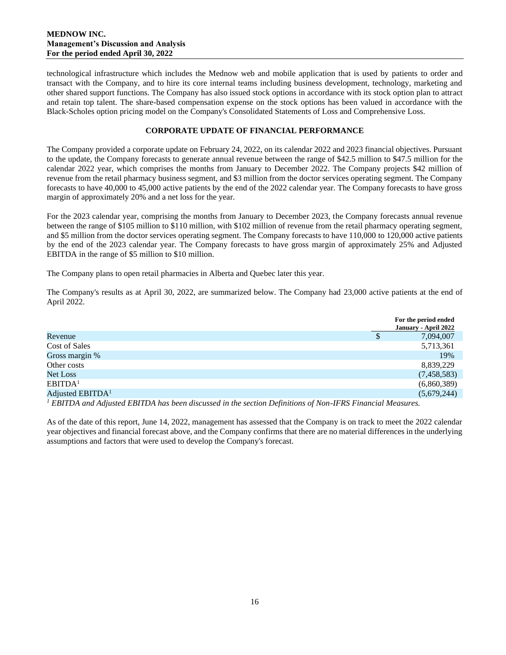technological infrastructure which includes the Mednow web and mobile application that is used by patients to order and transact with the Company, and to hire its core internal teams including business development, technology, marketing and other shared support functions. The Company has also issued stock options in accordance with its stock option plan to attract and retain top talent. The share-based compensation expense on the stock options has been valued in accordance with the Black-Scholes option pricing model on the Company's Consolidated Statements of Loss and Comprehensive Loss.

## **CORPORATE UPDATE OF FINANCIAL PERFORMANCE**

The Company provided a corporate update on February 24, 2022, on its calendar 2022 and 2023 financial objectives. Pursuant to the update, the Company forecasts to generate annual revenue between the range of \$42.5 million to \$47.5 million for the calendar 2022 year, which comprises the months from January to December 2022. The Company projects \$42 million of revenue from the retail pharmacy business segment, and \$3 million from the doctor services operating segment. The Company forecasts to have 40,000 to 45,000 active patients by the end of the 2022 calendar year. The Company forecasts to have gross margin of approximately 20% and a net loss for the year.

For the 2023 calendar year, comprising the months from January to December 2023, the Company forecasts annual revenue between the range of \$105 million to \$110 million, with \$102 million of revenue from the retail pharmacy operating segment, and \$5 million from the doctor services operating segment. The Company forecasts to have 110,000 to 120,000 active patients by the end of the 2023 calendar year. The Company forecasts to have gross margin of approximately 25% and Adjusted EBITDA in the range of \$5 million to \$10 million.

The Company plans to open retail pharmacies in Alberta and Quebec later this year.

The Company's results as at April 30, 2022, are summarized below. The Company had 23,000 active patients at the end of April 2022.

|                              |  |  | For the period ended<br>January - April 2022 |
|------------------------------|--|--|----------------------------------------------|
| Revenue                      |  |  | 7,094,007                                    |
| Cost of Sales                |  |  | 5,713,361                                    |
| Gross margin %               |  |  | 19%                                          |
| Other costs                  |  |  | 8,839,229                                    |
| <b>Net Loss</b>              |  |  | (7,458,583)                                  |
| EBITDA <sup>1</sup>          |  |  | (6,860,389)                                  |
| Adjusted EBITDA <sup>1</sup> |  |  | (5,679,244)                                  |
|                              |  |  |                                              |

*<sup>1</sup> EBITDA and Adjusted EBITDA has been discussed in the section Definitions of Non-IFRS Financial Measures.*

As of the date of this report, June 14, 2022, management has assessed that the Company is on track to meet the 2022 calendar year objectives and financial forecast above, and the Company confirms that there are no material differences in the underlying assumptions and factors that were used to develop the Company's forecast.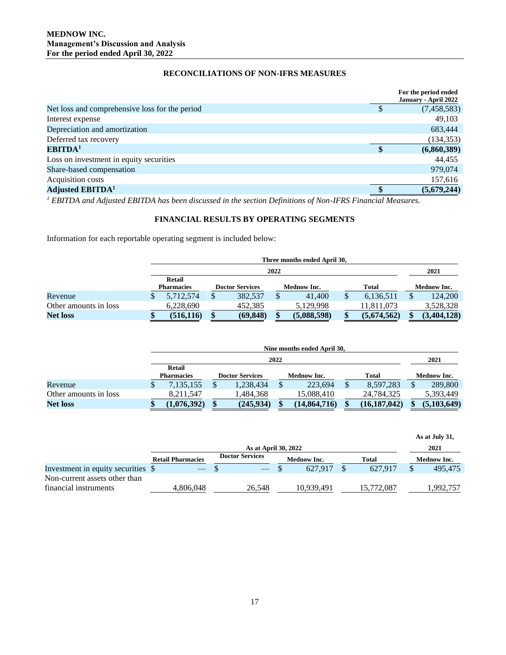# **RECONCILIATIONS OF NON-IFRS MEASURES**

| For the period ended |
|----------------------|
| January - April 2022 |
| (7,458,583)          |
| 49,103               |
| 683,444              |
| (134, 353)           |
| (6,860,389)          |
| 44,455               |
| 979,074              |
| 157,616              |
| (5,679,244)          |
|                      |

*<sup>1</sup> EBITDA and Adjusted EBITDA has been discussed in the section Definitions of Non-IFRS Financial Measures.*

# **FINANCIAL RESULTS BY OPERATING SEGMENTS**

Information for each reportable operating segment is included below:

|                       | Three months ended April 30. |   |                        |  |                    |   |              |  |                    |
|-----------------------|------------------------------|---|------------------------|--|--------------------|---|--------------|--|--------------------|
|                       | 2022                         |   |                        |  |                    |   |              |  | 2021               |
|                       | Retail                       |   |                        |  |                    |   |              |  |                    |
|                       | <b>Pharmacies</b>            |   | <b>Doctor Services</b> |  | <b>Mednow Inc.</b> |   | <b>Total</b> |  | <b>Mednow Inc.</b> |
| Revenue               | 5,712,574                    | S | 382,537                |  | 41,400             | Ф | 6,136,511    |  | 124,200            |
| Other amounts in loss | 6.228.690                    |   | 452.385                |  | 5.129.998          |   | 11,811,073   |  | 3.528.328          |
| <b>Net loss</b>       | (516, 116)                   |   | (69, 848)              |  | (5,088,598)        |   | (5,674,562)  |  | (3,404,128)        |

|                       | Nine months ended April 30, |  |                        |    |                    |   |                |  |                    |
|-----------------------|-----------------------------|--|------------------------|----|--------------------|---|----------------|--|--------------------|
|                       | 2022                        |  |                        |    |                    |   |                |  |                    |
|                       | Retail<br><b>Pharmacies</b> |  | <b>Doctor Services</b> |    | <b>Mednow Inc.</b> |   | <b>Total</b>   |  | <b>Mednow Inc.</b> |
| Revenue               | 7,135,155                   |  | 1,238,434              | \$ | 223.694            | Φ | 8,597,283      |  | 289,800            |
| Other amounts in loss | 8.211.547                   |  | 1.484.368              |    | 15.088.410         |   | 24,784,325     |  | 5.393.449          |
| <b>Net loss</b>       | 1,076,392)                  |  | (245, 934)             |    | (14, 864, 716)     |   | (16, 187, 042) |  | (5,103,649)        |

|                                                        |                          |                        |                    |              | As at July 31, |  |  |  |  |  |
|--------------------------------------------------------|--------------------------|------------------------|--------------------|--------------|----------------|--|--|--|--|--|
|                                                        |                          | As at April 30, 2022   |                    |              |                |  |  |  |  |  |
|                                                        | <b>Retail Pharmacies</b> | <b>Doctor Services</b> | <b>Mednow Inc.</b> | <b>Total</b> | Mednow Inc.    |  |  |  |  |  |
| Investment in equity securities \$                     |                          |                        | 627.917            | 627.917      | 495,475        |  |  |  |  |  |
| Non-current assets other than<br>financial instruments | 4,806,048                | 26.548                 | 10.939.491         | 15.772.087   | .992.757       |  |  |  |  |  |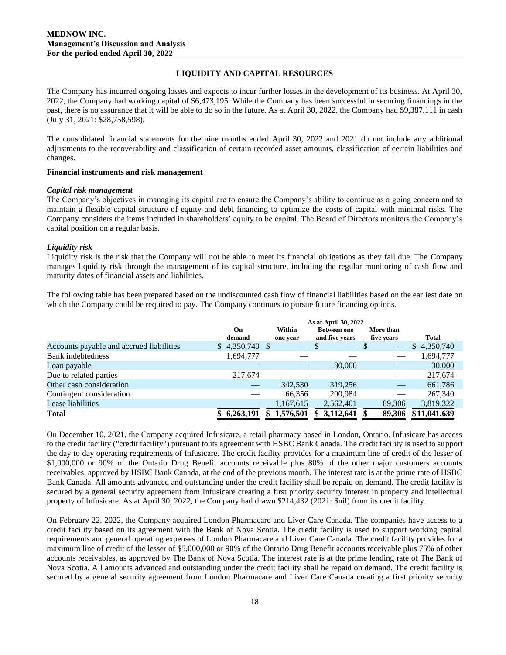## **LIQUIDITY AND CAPITAL RESOURCES**

The Company has incurred ongoing losses and expects to incur further losses in the development of its business. At April 30, 2022, the Company had working capital of \$6,473,195. While the Company has been successful in securing financings in the past, there is no assurance that it will be able to do so in the future. As at April 30, 2022, the Company had \$9,387,111 in cash (July 31, 2021: \$28,758,598).

The consolidated financial statements for the nine months ended April 30, 2022 and 2021 do not include any additional adjustments to the recoverability and classification of certain recorded asset amounts, classification of certain liabilities and changes.

#### **Financial instruments and risk management**

#### *Capital risk management*

The Company's objectives in managing its capital are to ensure the Company's ability to continue as a going concern and to maintain a flexible capital structure of equity and debt financing to optimize the costs of capital with minimal risks. The Company considers the items included in shareholders' equity to be capital. The Board of Directors monitors the Company's capital position on a regular basis.

### *Liquidity risk*

Liquidity risk is the risk that the Company will not be able to meet its financial obligations as they fall due. The Company manages liquidity risk through the management of its capital structure, including the regular monitoring of cash flow and maturity dates of financial assets and liabilities.

The following table has been prepared based on the undiscounted cash flow of financial liabilities based on the earliest date on which the Company could be required to pay. The Company continues to pursue future financing options.

|                                          | As at April 30, 2022 |                  |                       |                          |                           |  |  |  |  |
|------------------------------------------|----------------------|------------------|-----------------------|--------------------------|---------------------------|--|--|--|--|
|                                          | On                   | Within           | <b>Between one</b>    | More than                |                           |  |  |  |  |
|                                          | demand               | one year         | and five years        | five years               | <b>Total</b>              |  |  |  |  |
| Accounts payable and accrued liabilities | $$4,350,740$ \\$     |                  |                       | $\overline{\phantom{m}}$ | 4,350,740<br>$\mathbb{S}$ |  |  |  |  |
| Bank indebtedness                        | 1,694,777            |                  |                       |                          | 1,694,777                 |  |  |  |  |
| Loan payable                             |                      |                  | 30,000                |                          | 30,000                    |  |  |  |  |
| Due to related parties                   | 217,674              |                  |                       |                          | 217,674                   |  |  |  |  |
| Other cash consideration                 |                      | 342,530          | 319,256               |                          | 661,786                   |  |  |  |  |
| Contingent consideration                 |                      | 66,356           | 200,984               |                          | 267,340                   |  |  |  |  |
| Lease liabilities                        |                      | 1,167,615        | 2,562,401             | 89,306                   | 3,819,322                 |  |  |  |  |
| <b>Total</b>                             | \$ 6,263,191         | 1,576,501<br>SS. | $3,112,641$ \$<br>SS. | 89.306                   | \$11,041,639              |  |  |  |  |

On December 10, 2021, the Company acquired Infusicare, a retail pharmacy based in London, Ontario. Infusicare has access to the credit facility ("credit facility") pursuant to its agreement with HSBC Bank Canada. The credit facility is used to support the day to day operating requirements of Infusicare. The credit facility provides for a maximum line of credit of the lesser of \$1,000,000 or 90% of the Ontario Drug Benefit accounts receivable plus 80% of the other major customers accounts receivables, approved by HSBC Bank Canada, at the end of the previous month. The interest rate is at the prime rate of HSBC Bank Canada. All amounts advanced and outstanding under the credit facility shall be repaid on demand. The credit facility is secured by a general security agreement from Infusicare creating a first priority security interest in property and intellectual property of Infusicare. As at April 30, 2022, the Company had drawn \$214,432 (2021: \$nil) from its credit facility.

On February 22, 2022, the Company acquired London Pharmacare and Liver Care Canada. The companies have access to a credit facility based on its agreement with the Bank of Nova Scotia. The credit facility is used to support working capital requirements and general operating expenses of London Pharmacare and Liver Care Canada. The credit facility provides for a maximum line of credit of the lesser of \$5,000,000 or 90% of the Ontario Drug Benefit accounts receivable plus 75% of other accounts receivables, as approved by The Bank of Nova Scotia. The interest rate is at the prime lending rate of The Bank of Nova Scotia. All amounts advanced and outstanding under the credit facility shall be repaid on demand. The credit facility is secured by a general security agreement from London Pharmacare and Liver Care Canada creating a first priority security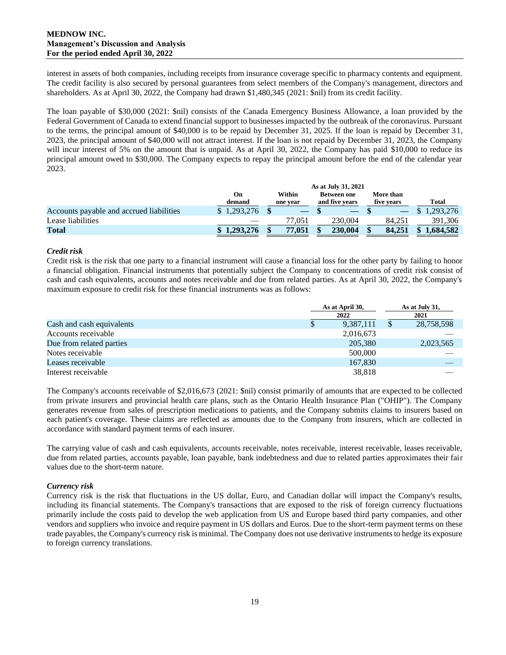## **MEDNOW INC. Management's Discussion and Analysis For the period ended April 30, 2022**

interest in assets of both companies, including receipts from insurance coverage specific to pharmacy contents and equipment. The credit facility is also secured by personal guarantees from select members of the Company's management, directors and shareholders. As at April 30, 2022, the Company had drawn \$1,480,345 (2021: \$nil) from its credit facility.

The loan payable of \$30,000 (2021: \$nil) consists of the Canada Emergency Business Allowance, a loan provided by the Federal Government of Canada to extend financial support to businesses impacted by the outbreak of the coronavirus. Pursuant to the terms, the principal amount of \$40,000 is to be repaid by December 31, 2025. If the loan is repaid by December 31, 2023, the principal amount of \$40,000 will not attract interest. If the loan is not repaid by December 31, 2023, the Company will incur interest of 5% on the amount that is unpaid. As at April 30, 2022, the Company has paid \$10,000 to reduce its principal amount owed to \$30,000. The Company expects to repay the principal amount before the end of the calendar year 2023.

|                                          | As at July 31, 2021 |          |                    |            |              |  |  |  |  |  |
|------------------------------------------|---------------------|----------|--------------------|------------|--------------|--|--|--|--|--|
|                                          | Oп                  | Within   | <b>Between one</b> | More than  |              |  |  |  |  |  |
|                                          | demand              | one year | and five years     | five vears | <b>Total</b> |  |  |  |  |  |
| Accounts payable and accrued liabilities | \$1,293,276         |          |                    |            | 1.293.276    |  |  |  |  |  |
| Lease liabilities                        |                     | 77.051   | 230,004            | 84.251     | 391.306      |  |  |  |  |  |
| Total                                    | \$1,293,276         | 77,051   | 230,004            | 84,251     | 1,684,582    |  |  |  |  |  |

## *Credit risk*

Credit risk is the risk that one party to a financial instrument will cause a financial loss for the other party by failing to honor a financial obligation. Financial instruments that potentially subject the Company to concentrations of credit risk consist of cash and cash equivalents, accounts and notes receivable and due from related parties. As at April 30, 2022, the Company's maximum exposure to credit risk for these financial instruments was as follows:

|                           | As at April 30, | As at July 31, |
|---------------------------|-----------------|----------------|
|                           | 2022            | 2021           |
| Cash and cash equivalents | 9,387,111       | 28,758,598     |
| Accounts receivable       | 2,016,673       |                |
| Due from related parties  | 205,380         | 2,023,565      |
| Notes receivable          | 500,000         |                |
| Leases receivable         | 167.830         |                |
| Interest receivable       | 38,818          |                |

The Company's accounts receivable of \$2,016,673 (2021: \$nil) consist primarily of amounts that are expected to be collected from private insurers and provincial health care plans, such as the Ontario Health Insurance Plan ("OHIP"). The Company generates revenue from sales of prescription medications to patients, and the Company submits claims to insurers based on each patient's coverage. These claims are reflected as amounts due to the Company from insurers, which are collected in accordance with standard payment terms of each insurer.

The carrying value of cash and cash equivalents, accounts receivable, notes receivable, interest receivable, leases receivable, due from related parties, accounts payable, loan payable, bank indebtedness and due to related parties approximates their fair values due to the short-term nature.

# *Currency risk*

Currency risk is the risk that fluctuations in the US dollar, Euro, and Canadian dollar will impact the Company's results, including its financial statements. The Company's transactions that are exposed to the risk of foreign currency fluctuations primarily include the costs paid to develop the web application from US and Europe based third party companies, and other vendors and suppliers who invoice and require payment in US dollars and Euros. Due to the short-term payment terms on these trade payables, the Company's currency risk is minimal. The Company does not use derivative instruments to hedge its exposure to foreign currency translations.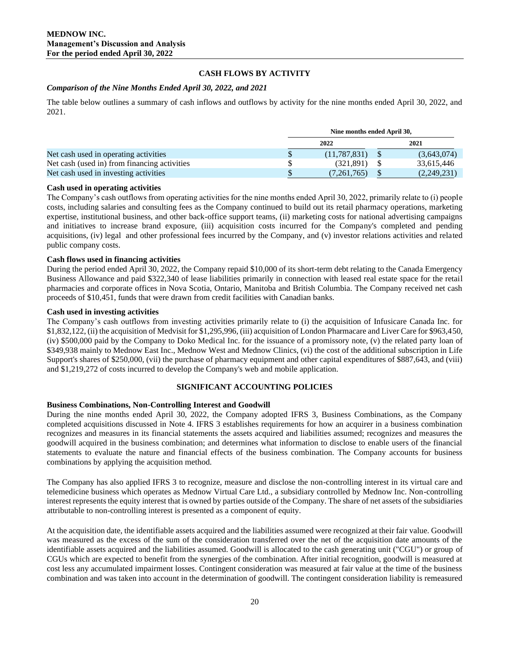# **CASH FLOWS BY ACTIVITY**

## *Comparison of the Nine Months Ended April 30, 2022, and 2021*

The table below outlines a summary of cash inflows and outflows by activity for the nine months ended April 30, 2022, and 2021.

|                                              | Nine months ended April 30, |  |             |  |  |  |  |
|----------------------------------------------|-----------------------------|--|-------------|--|--|--|--|
|                                              | 2022                        |  | 2021        |  |  |  |  |
| Net cash used in operating activities        | (11.787.831)                |  | (3,643,074) |  |  |  |  |
| Net cash (used in) from financing activities | (321.891)                   |  | 33.615.446  |  |  |  |  |
| Net cash used in investing activities        | (7,261,765)                 |  | (2,249,231) |  |  |  |  |

### **Cash used in operating activities**

The Company's cash outflows from operating activities for the nine months ended April 30, 2022, primarily relate to (i) people costs, including salaries and consulting fees as the Company continued to build out its retail pharmacy operations, marketing expertise, institutional business, and other back-office support teams, (ii) marketing costs for national advertising campaigns and initiatives to increase brand exposure, (iii) acquisition costs incurred for the Company's completed and pending acquisitions, (iv) legal and other professional fees incurred by the Company, and (v) investor relations activities and related public company costs.

## **Cash flows used in financing activities**

During the period ended April 30, 2022, the Company repaid \$10,000 of its short-term debt relating to the Canada Emergency Business Allowance and paid \$322,340 of lease liabilities primarily in connection with leased real estate space for the retail pharmacies and corporate offices in Nova Scotia, Ontario, Manitoba and British Columbia. The Company received net cash proceeds of \$10,451, funds that were drawn from credit facilities with Canadian banks.

## **Cash used in investing activities**

The Company's cash outflows from investing activities primarily relate to (i) the acquisition of Infusicare Canada Inc. for \$1,832,122, (ii) the acquisition of Medvisit for \$1,295,996, (iii) acquisition of London Pharmacare and Liver Care for \$963,450, (iv) \$500,000 paid by the Company to Doko Medical Inc. for the issuance of a promissory note, (v) the related party loan of \$349,938 mainly to Mednow East Inc., Mednow West and Mednow Clinics, (vi) the cost of the additional subscription in Life Support's shares of \$250,000, (vii) the purchase of pharmacy equipment and other capital expenditures of \$887,643, and (viii) and \$1,219,272 of costs incurred to develop the Company's web and mobile application.

# **SIGNIFICANT ACCOUNTING POLICIES**

### **Business Combinations, Non-Controlling Interest and Goodwill**

During the nine months ended April 30, 2022, the Company adopted IFRS 3, Business Combinations, as the Company completed acquisitions discussed in Note 4. IFRS 3 establishes requirements for how an acquirer in a business combination recognizes and measures in its financial statements the assets acquired and liabilities assumed; recognizes and measures the goodwill acquired in the business combination; and determines what information to disclose to enable users of the financial statements to evaluate the nature and financial effects of the business combination. The Company accounts for business combinations by applying the acquisition method.

The Company has also applied IFRS 3 to recognize, measure and disclose the non-controlling interest in its virtual care and telemedicine business which operates as Mednow Virtual Care Ltd., a subsidiary controlled by Mednow Inc. Non-controlling interest represents the equity interest that is owned by parties outside of the Company. The share of net assets of the subsidiaries attributable to non-controlling interest is presented as a component of equity.

At the acquisition date, the identifiable assets acquired and the liabilities assumed were recognized at their fair value. Goodwill was measured as the excess of the sum of the consideration transferred over the net of the acquisition date amounts of the identifiable assets acquired and the liabilities assumed. Goodwill is allocated to the cash generating unit ("CGU") or group of CGUs which are expected to benefit from the synergies of the combination. After initial recognition, goodwill is measured at cost less any accumulated impairment losses. Contingent consideration was measured at fair value at the time of the business combination and was taken into account in the determination of goodwill. The contingent consideration liability is remeasured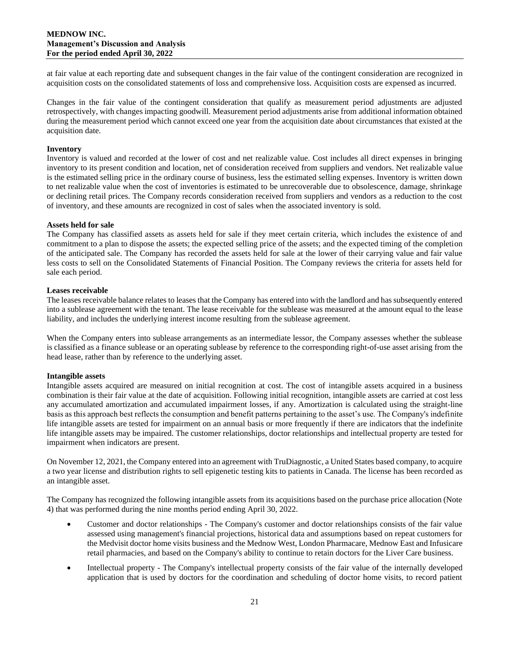at fair value at each reporting date and subsequent changes in the fair value of the contingent consideration are recognized in acquisition costs on the consolidated statements of loss and comprehensive loss. Acquisition costs are expensed as incurred.

Changes in the fair value of the contingent consideration that qualify as measurement period adjustments are adjusted retrospectively, with changes impacting goodwill. Measurement period adjustments arise from additional information obtained during the measurement period which cannot exceed one year from the acquisition date about circumstances that existed at the acquisition date.

## **Inventory**

Inventory is valued and recorded at the lower of cost and net realizable value. Cost includes all direct expenses in bringing inventory to its present condition and location, net of consideration received from suppliers and vendors. Net realizable value is the estimated selling price in the ordinary course of business, less the estimated selling expenses. Inventory is written down to net realizable value when the cost of inventories is estimated to be unrecoverable due to obsolescence, damage, shrinkage or declining retail prices. The Company records consideration received from suppliers and vendors as a reduction to the cost of inventory, and these amounts are recognized in cost of sales when the associated inventory is sold.

## **Assets held for sale**

The Company has classified assets as assets held for sale if they meet certain criteria, which includes the existence of and commitment to a plan to dispose the assets; the expected selling price of the assets; and the expected timing of the completion of the anticipated sale. The Company has recorded the assets held for sale at the lower of their carrying value and fair value less costs to sell on the Consolidated Statements of Financial Position. The Company reviews the criteria for assets held for sale each period.

## **Leases receivable**

The leases receivable balance relates to leases that the Company has entered into with the landlord and has subsequently entered into a sublease agreement with the tenant. The lease receivable for the sublease was measured at the amount equal to the lease liability, and includes the underlying interest income resulting from the sublease agreement.

When the Company enters into sublease arrangements as an intermediate lessor, the Company assesses whether the sublease is classified as a finance sublease or an operating sublease by reference to the corresponding right-of-use asset arising from the head lease, rather than by reference to the underlying asset.

### **Intangible assets**

Intangible assets acquired are measured on initial recognition at cost. The cost of intangible assets acquired in a business combination is their fair value at the date of acquisition. Following initial recognition, intangible assets are carried at cost less any accumulated amortization and accumulated impairment losses, if any. Amortization is calculated using the straight-line basis as this approach best reflects the consumption and benefit patterns pertaining to the asset's use. The Company's indefinite life intangible assets are tested for impairment on an annual basis or more frequently if there are indicators that the indefinite life intangible assets may be impaired. The customer relationships, doctor relationships and intellectual property are tested for impairment when indicators are present.

On November 12, 2021, the Company entered into an agreement with TruDiagnostic, a United States based company, to acquire a two year license and distribution rights to sell epigenetic testing kits to patients in Canada. The license has been recorded as an intangible asset.

The Company has recognized the following intangible assets from its acquisitions based on the purchase price allocation (Note 4) that was performed during the nine months period ending April 30, 2022.

- Customer and doctor relationships The Company's customer and doctor relationships consists of the fair value assessed using management's financial projections, historical data and assumptions based on repeat customers for the Medvisit doctor home visits business and the Mednow West, London Pharmacare, Mednow East and Infusicare retail pharmacies, and based on the Company's ability to continue to retain doctors for the Liver Care business.
- Intellectual property The Company's intellectual property consists of the fair value of the internally developed application that is used by doctors for the coordination and scheduling of doctor home visits, to record patient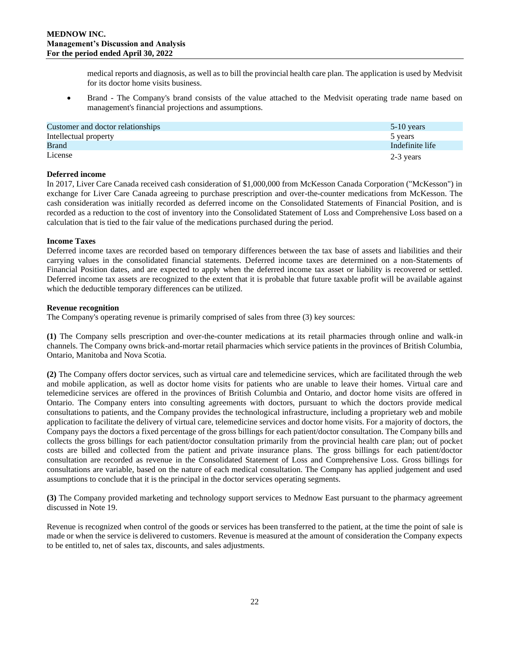medical reports and diagnosis, as well as to bill the provincial health care plan. The application is used by Medvisit for its doctor home visits business.

• Brand - The Company's brand consists of the value attached to the Medvisit operating trade name based on management's financial projections and assumptions.

| Customer and doctor relationships | $5-10$ years    |
|-----------------------------------|-----------------|
| Intellectual property             | 5 years         |
| <b>Brand</b>                      | Indefinite life |
| License                           | 2-3 years       |

## **Deferred income**

In 2017, Liver Care Canada received cash consideration of \$1,000,000 from McKesson Canada Corporation ("McKesson") in exchange for Liver Care Canada agreeing to purchase prescription and over-the-counter medications from McKesson. The cash consideration was initially recorded as deferred income on the Consolidated Statements of Financial Position, and is recorded as a reduction to the cost of inventory into the Consolidated Statement of Loss and Comprehensive Loss based on a calculation that is tied to the fair value of the medications purchased during the period.

### **Income Taxes**

Deferred income taxes are recorded based on temporary differences between the tax base of assets and liabilities and their carrying values in the consolidated financial statements. Deferred income taxes are determined on a non-Statements of Financial Position dates, and are expected to apply when the deferred income tax asset or liability is recovered or settled. Deferred income tax assets are recognized to the extent that it is probable that future taxable profit will be available against which the deductible temporary differences can be utilized.

### **Revenue recognition**

The Company's operating revenue is primarily comprised of sales from three (3) key sources:

**(1)** The Company sells prescription and over-the-counter medications at its retail pharmacies through online and walk-in channels. The Company owns brick-and-mortar retail pharmacies which service patients in the provinces of British Columbia, Ontario, Manitoba and Nova Scotia.

**(2)** The Company offers doctor services, such as virtual care and telemedicine services, which are facilitated through the web and mobile application, as well as doctor home visits for patients who are unable to leave their homes. Virtual care and telemedicine services are offered in the provinces of British Columbia and Ontario, and doctor home visits are offered in Ontario. The Company enters into consulting agreements with doctors, pursuant to which the doctors provide medical consultations to patients, and the Company provides the technological infrastructure, including a proprietary web and mobile application to facilitate the delivery of virtual care, telemedicine services and doctor home visits. For a majority of doctors, the Company pays the doctors a fixed percentage of the gross billings for each patient/doctor consultation. The Company bills and collects the gross billings for each patient/doctor consultation primarily from the provincial health care plan; out of pocket costs are billed and collected from the patient and private insurance plans. The gross billings for each patient/doctor consultation are recorded as revenue in the Consolidated Statement of Loss and Comprehensive Loss. Gross billings for consultations are variable, based on the nature of each medical consultation. The Company has applied judgement and used assumptions to conclude that it is the principal in the doctor services operating segments.

**(3)** The Company provided marketing and technology support services to Mednow East pursuant to the pharmacy agreement discussed in Note 19.

Revenue is recognized when control of the goods or services has been transferred to the patient, at the time the point of sale is made or when the service is delivered to customers. Revenue is measured at the amount of consideration the Company expects to be entitled to, net of sales tax, discounts, and sales adjustments.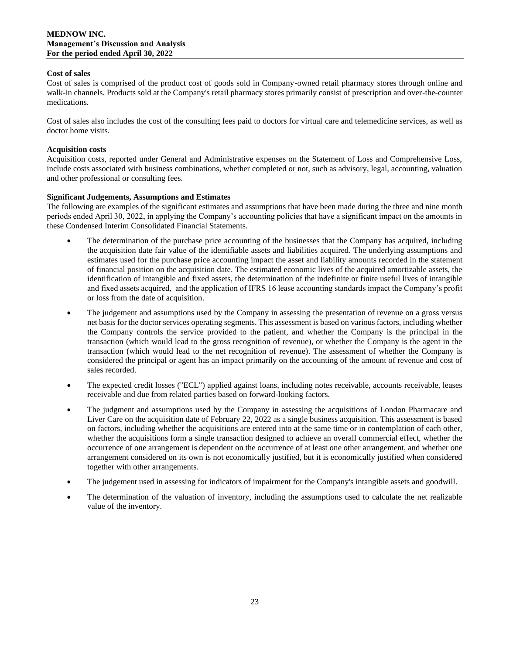## **Cost of sales**

Cost of sales is comprised of the product cost of goods sold in Company-owned retail pharmacy stores through online and walk-in channels. Products sold at the Company's retail pharmacy stores primarily consist of prescription and over-the-counter medications.

Cost of sales also includes the cost of the consulting fees paid to doctors for virtual care and telemedicine services, as well as doctor home visits.

## **Acquisition costs**

Acquisition costs, reported under General and Administrative expenses on the Statement of Loss and Comprehensive Loss, include costs associated with business combinations, whether completed or not, such as advisory, legal, accounting, valuation and other professional or consulting fees.

## **Significant Judgements, Assumptions and Estimates**

The following are examples of the significant estimates and assumptions that have been made during the three and nine month periods ended April 30, 2022, in applying the Company's accounting policies that have a significant impact on the amounts in these Condensed Interim Consolidated Financial Statements.

- The determination of the purchase price accounting of the businesses that the Company has acquired, including the acquisition date fair value of the identifiable assets and liabilities acquired. The underlying assumptions and estimates used for the purchase price accounting impact the asset and liability amounts recorded in the statement of financial position on the acquisition date. The estimated economic lives of the acquired amortizable assets, the identification of intangible and fixed assets, the determination of the indefinite or finite useful lives of intangible and fixed assets acquired, and the application of IFRS 16 lease accounting standards impact the Company's profit or loss from the date of acquisition.
- The judgement and assumptions used by the Company in assessing the presentation of revenue on a gross versus net basis for the doctor services operating segments. This assessment is based on various factors, including whether the Company controls the service provided to the patient, and whether the Company is the principal in the transaction (which would lead to the gross recognition of revenue), or whether the Company is the agent in the transaction (which would lead to the net recognition of revenue). The assessment of whether the Company is considered the principal or agent has an impact primarily on the accounting of the amount of revenue and cost of sales recorded.
- The expected credit losses ("ECL") applied against loans, including notes receivable, accounts receivable, leases receivable and due from related parties based on forward-looking factors.
- The judgment and assumptions used by the Company in assessing the acquisitions of London Pharmacare and Liver Care on the acquisition date of February 22, 2022 as a single business acquisition. This assessment is based on factors, including whether the acquisitions are entered into at the same time or in contemplation of each other, whether the acquisitions form a single transaction designed to achieve an overall commercial effect, whether the occurrence of one arrangement is dependent on the occurrence of at least one other arrangement, and whether one arrangement considered on its own is not economically justified, but it is economically justified when considered together with other arrangements.
- The judgement used in assessing for indicators of impairment for the Company's intangible assets and goodwill.
- The determination of the valuation of inventory, including the assumptions used to calculate the net realizable value of the inventory.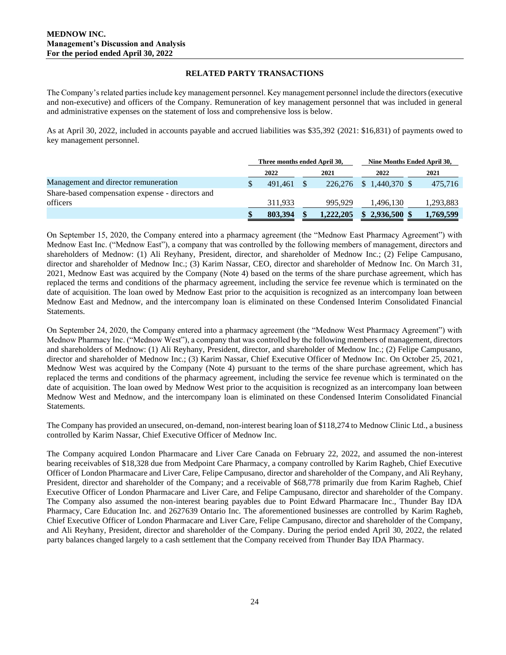## **RELATED PARTY TRANSACTIONS**

The Company's related parties include key management personnel. Key management personnel include the directors (executive and non-executive) and officers of the Company. Remuneration of key management personnel that was included in general and administrative expenses on the statement of loss and comprehensive loss is below.

As at April 30, 2022, included in accounts payable and accrued liabilities was \$35,392 (2021: \$16,831) of payments owed to key management personnel.

|                                                  | Three months ended April 30. |  |           | Nine Months Ended April 30, |  |           |
|--------------------------------------------------|------------------------------|--|-----------|-----------------------------|--|-----------|
|                                                  | 2022                         |  | 2021      | 2022                        |  | 2021      |
| Management and director remuneration             | 491.461                      |  | 226,276   | $$1,440,370$ \$             |  | 475.716   |
| Share-based compensation expense - directors and |                              |  |           |                             |  |           |
| officers                                         | 311.933                      |  | 995.929   | 1.496.130                   |  | 1,293,883 |
|                                                  | 803.394                      |  | 1,222,205 | $$2,936,500$ \$             |  | 1,769,599 |

On September 15, 2020, the Company entered into a pharmacy agreement (the "Mednow East Pharmacy Agreement") with Mednow East Inc. ("Mednow East"), a company that was controlled by the following members of management, directors and shareholders of Mednow: (1) Ali Reyhany, President, director, and shareholder of Mednow Inc.; (2) Felipe Campusano, director and shareholder of Mednow Inc.; (3) Karim Nassar, CEO, director and shareholder of Mednow Inc. On March 31, 2021, Mednow East was acquired by the Company (Note 4) based on the terms of the share purchase agreement, which has replaced the terms and conditions of the pharmacy agreement, including the service fee revenue which is terminated on the date of acquisition. The loan owed by Mednow East prior to the acquisition is recognized as an intercompany loan between Mednow East and Mednow, and the intercompany loan is eliminated on these Condensed Interim Consolidated Financial Statements.

On September 24, 2020, the Company entered into a pharmacy agreement (the "Mednow West Pharmacy Agreement") with Mednow Pharmacy Inc. ("Mednow West"), a company that was controlled by the following members of management, directors and shareholders of Mednow: (1) Ali Reyhany, President, director, and shareholder of Mednow Inc.; (2) Felipe Campusano, director and shareholder of Mednow Inc.; (3) Karim Nassar, Chief Executive Officer of Mednow Inc. On October 25, 2021, Mednow West was acquired by the Company (Note 4) pursuant to the terms of the share purchase agreement, which has replaced the terms and conditions of the pharmacy agreement, including the service fee revenue which is terminated on the date of acquisition. The loan owed by Mednow West prior to the acquisition is recognized as an intercompany loan between Mednow West and Mednow, and the intercompany loan is eliminated on these Condensed Interim Consolidated Financial Statements.

The Company has provided an unsecured, on-demand, non-interest bearing loan of \$118,274 to Mednow Clinic Ltd., a business controlled by Karim Nassar, Chief Executive Officer of Mednow Inc.

The Company acquired London Pharmacare and Liver Care Canada on February 22, 2022, and assumed the non-interest bearing receivables of \$18,328 due from Medpoint Care Pharmacy, a company controlled by Karim Ragheb, Chief Executive Officer of London Pharmacare and Liver Care, Felipe Campusano, director and shareholder of the Company, and Ali Reyhany, President, director and shareholder of the Company; and a receivable of \$68,778 primarily due from Karim Ragheb, Chief Executive Officer of London Pharmacare and Liver Care, and Felipe Campusano, director and shareholder of the Company. The Company also assumed the non-interest bearing payables due to Point Edward Pharmacare Inc., Thunder Bay IDA Pharmacy, Care Education Inc. and 2627639 Ontario Inc. The aforementioned businesses are controlled by Karim Ragheb, Chief Executive Officer of London Pharmacare and Liver Care, Felipe Campusano, director and shareholder of the Company, and Ali Reyhany, President, director and shareholder of the Company. During the period ended April 30, 2022, the related party balances changed largely to a cash settlement that the Company received from Thunder Bay IDA Pharmacy.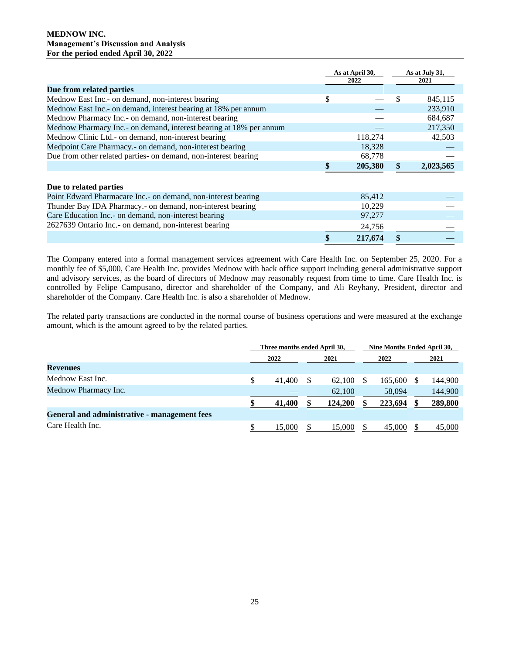|                                                                    | As at April 30,<br>2022 |    | As at July 31,<br>2021 |
|--------------------------------------------------------------------|-------------------------|----|------------------------|
| Due from related parties                                           |                         |    |                        |
| Mednow East Inc.- on demand, non-interest bearing                  | \$                      | \$ | 845,115                |
| Mednow East Inc.- on demand, interest bearing at 18% per annum     |                         |    | 233,910                |
| Mednow Pharmacy Inc.- on demand, non-interest bearing              |                         |    | 684,687                |
| Mednow Pharmacy Inc.- on demand, interest bearing at 18% per annum |                         |    | 217,350                |
| Mednow Clinic Ltd.- on demand, non-interest bearing                | 118,274                 |    | 42,503                 |
| Medpoint Care Pharmacy.- on demand, non-interest bearing           | 18,328                  |    |                        |
| Due from other related parties- on demand, non-interest bearing    | 68,778                  |    |                        |
|                                                                    | 205,380                 |    | 2,023,565              |
| Due to related parties                                             |                         |    |                        |
| Point Edward Pharmacare Inc.- on demand, non-interest bearing      | 85,412                  |    |                        |
| Thunder Bay IDA Pharmacy.- on demand, non-interest bearing         | 10,229                  |    |                        |
| Care Education Inc.- on demand, non-interest bearing               | 97,277                  |    |                        |
| 2627639 Ontario Inc.- on demand, non-interest bearing              | 24,756                  |    |                        |
|                                                                    | 217,674                 |    |                        |

The Company entered into a formal management services agreement with Care Health Inc. on September 25, 2020. For a monthly fee of \$5,000, Care Health Inc. provides Mednow with back office support including general administrative support and advisory services, as the board of directors of Mednow may reasonably request from time to time. Care Health Inc. is controlled by Felipe Campusano, director and shareholder of the Company, and Ali Reyhany, President, director and shareholder of the Company. Care Health Inc. is also a shareholder of Mednow.

The related party transactions are conducted in the normal course of business operations and were measured at the exchange amount, which is the amount agreed to by the related parties.

|                                              | Three months ended April 30, |  |         |   | Nine Months Ended April 30, |  |         |  |
|----------------------------------------------|------------------------------|--|---------|---|-----------------------------|--|---------|--|
|                                              | 2022                         |  | 2021    |   | 2022                        |  | 2021    |  |
| <b>Revenues</b>                              |                              |  |         |   |                             |  |         |  |
| Mednow East Inc.                             | 41,400                       |  | 62.100  | S | 165.600                     |  | 144,900 |  |
| Mednow Pharmacy Inc.                         |                              |  | 62,100  |   | 58,094                      |  | 144,900 |  |
|                                              | 41,400                       |  | 124,200 |   | 223.694                     |  | 289,800 |  |
| General and administrative - management fees |                              |  |         |   |                             |  |         |  |
| Care Health Inc.                             | 15,000                       |  | 15,000  |   | 45,000                      |  | 45,000  |  |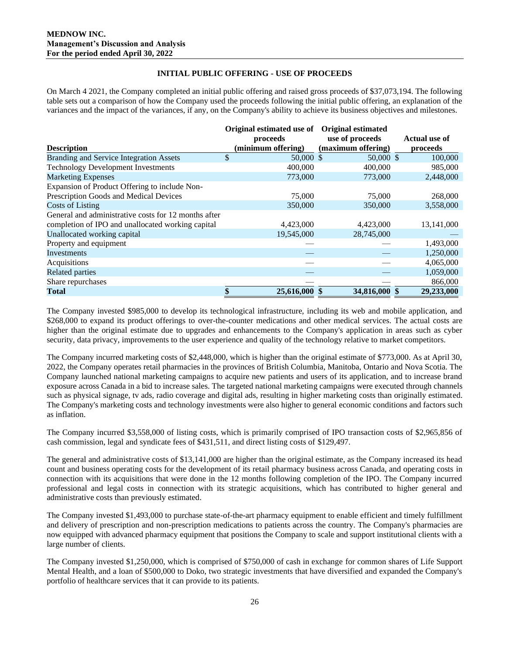# **INITIAL PUBLIC OFFERING - USE OF PROCEEDS**

On March 4 2021, the Company completed an initial public offering and raised gross proceeds of \$37,073,194. The following table sets out a comparison of how the Company used the proceeds following the initial public offering, an explanation of the variances and the impact of the variances, if any, on the Company's ability to achieve its business objectives and milestones.

|                                                      | Original estimated use of | <b>Original estimated</b> |               |
|------------------------------------------------------|---------------------------|---------------------------|---------------|
|                                                      | proceeds                  | use of proceeds           | Actual use of |
| <b>Description</b>                                   | (minimum offering)        | (maximum offering)        | proceeds      |
| <b>Branding and Service Integration Assets</b>       | \$<br>$50,000$ \$         | $50,000 \text{ }$ \$      | 100,000       |
| <b>Technology Development Investments</b>            | 400,000                   | 400,000                   | 985,000       |
| <b>Marketing Expenses</b>                            | 773,000                   | 773,000                   | 2,448,000     |
| Expansion of Product Offering to include Non-        |                           |                           |               |
| Prescription Goods and Medical Devices               | 75,000                    | 75,000                    | 268,000       |
| <b>Costs of Listing</b>                              | 350,000                   | 350,000                   | 3,558,000     |
| General and administrative costs for 12 months after |                           |                           |               |
| completion of IPO and unallocated working capital    | 4,423,000                 | 4,423,000                 | 13,141,000    |
| Unallocated working capital                          | 19,545,000                | 28,745,000                |               |
| Property and equipment                               |                           |                           | 1,493,000     |
| <b>Investments</b>                                   |                           |                           | 1,250,000     |
| Acquisitions                                         |                           |                           | 4,065,000     |
| <b>Related parties</b>                               |                           |                           | 1,059,000     |
| Share repurchases                                    |                           |                           | 866,000       |
| Total                                                | \$<br>25,616,000          | 34,816,000                | 29,233,000    |

The Company invested \$985,000 to develop its technological infrastructure, including its web and mobile application, and \$268,000 to expand its product offerings to over-the-counter medications and other medical services. The actual costs are higher than the original estimate due to upgrades and enhancements to the Company's application in areas such as cyber security, data privacy, improvements to the user experience and quality of the technology relative to market competitors.

The Company incurred marketing costs of \$2,448,000, which is higher than the original estimate of \$773,000. As at April 30, 2022, the Company operates retail pharmacies in the provinces of British Columbia, Manitoba, Ontario and Nova Scotia. The Company launched national marketing campaigns to acquire new patients and users of its application, and to increase brand exposure across Canada in a bid to increase sales. The targeted national marketing campaigns were executed through channels such as physical signage, tv ads, radio coverage and digital ads, resulting in higher marketing costs than originally estimated. The Company's marketing costs and technology investments were also higher to general economic conditions and factors such as inflation.

The Company incurred \$3,558,000 of listing costs, which is primarily comprised of IPO transaction costs of \$2,965,856 of cash commission, legal and syndicate fees of \$431,511, and direct listing costs of \$129,497.

The general and administrative costs of \$13,141,000 are higher than the original estimate, as the Company increased its head count and business operating costs for the development of its retail pharmacy business across Canada, and operating costs in connection with its acquisitions that were done in the 12 months following completion of the IPO. The Company incurred professional and legal costs in connection with its strategic acquisitions, which has contributed to higher general and administrative costs than previously estimated.

The Company invested \$1,493,000 to purchase state-of-the-art pharmacy equipment to enable efficient and timely fulfillment and delivery of prescription and non-prescription medications to patients across the country. The Company's pharmacies are now equipped with advanced pharmacy equipment that positions the Company to scale and support institutional clients with a large number of clients.

The Company invested \$1,250,000, which is comprised of \$750,000 of cash in exchange for common shares of Life Support Mental Health, and a loan of \$500,000 to Doko, two strategic investments that have diversified and expanded the Company's portfolio of healthcare services that it can provide to its patients.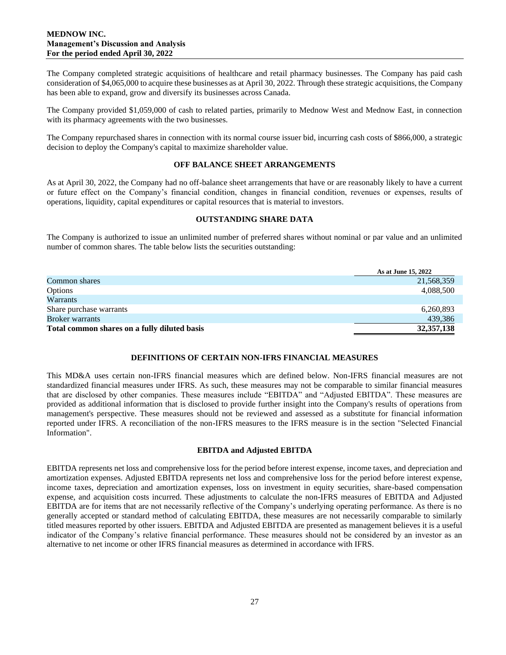The Company completed strategic acquisitions of healthcare and retail pharmacy businesses. The Company has paid cash consideration of \$4,065,000 to acquire these businesses as at April 30, 2022. Through these strategic acquisitions, the Company has been able to expand, grow and diversify its businesses across Canada.

The Company provided \$1,059,000 of cash to related parties, primarily to Mednow West and Mednow East, in connection with its pharmacy agreements with the two businesses.

The Company repurchased shares in connection with its normal course issuer bid, incurring cash costs of \$866,000, a strategic decision to deploy the Company's capital to maximize shareholder value.

## **OFF BALANCE SHEET ARRANGEMENTS**

As at April 30, 2022, the Company had no off-balance sheet arrangements that have or are reasonably likely to have a current or future effect on the Company's financial condition, changes in financial condition, revenues or expenses, results of operations, liquidity, capital expenditures or capital resources that is material to investors.

## **OUTSTANDING SHARE DATA**

The Company is authorized to issue an unlimited number of preferred shares without nominal or par value and an unlimited number of common shares. The table below lists the securities outstanding:

|                                              | As at June 15, 2022 |
|----------------------------------------------|---------------------|
| Common shares                                | 21,568,359          |
| Options                                      | 4,088,500           |
| Warrants                                     |                     |
| Share purchase warrants                      | 6,260,893           |
| <b>Broker</b> warrants                       | 439,386             |
| Total common shares on a fully diluted basis | 32, 357, 138        |

### **DEFINITIONS OF CERTAIN NON-IFRS FINANCIAL MEASURES**

This MD&A uses certain non-IFRS financial measures which are defined below. Non-IFRS financial measures are not standardized financial measures under IFRS. As such, these measures may not be comparable to similar financial measures that are disclosed by other companies. These measures include "EBITDA" and "Adjusted EBITDA". These measures are provided as additional information that is disclosed to provide further insight into the Company's results of operations from management's perspective. These measures should not be reviewed and assessed as a substitute for financial information reported under IFRS. A reconciliation of the non-IFRS measures to the IFRS measure is in the section "Selected Financial Information".

## **EBITDA and Adjusted EBITDA**

EBITDA represents net loss and comprehensive loss for the period before interest expense, income taxes, and depreciation and amortization expenses. Adjusted EBITDA represents net loss and comprehensive loss for the period before interest expense, income taxes, depreciation and amortization expenses, loss on investment in equity securities, share-based compensation expense, and acquisition costs incurred. These adjustments to calculate the non-IFRS measures of EBITDA and Adjusted EBITDA are for items that are not necessarily reflective of the Company's underlying operating performance. As there is no generally accepted or standard method of calculating EBITDA, these measures are not necessarily comparable to similarly titled measures reported by other issuers. EBITDA and Adjusted EBITDA are presented as management believes it is a useful indicator of the Company's relative financial performance. These measures should not be considered by an investor as an alternative to net income or other IFRS financial measures as determined in accordance with IFRS.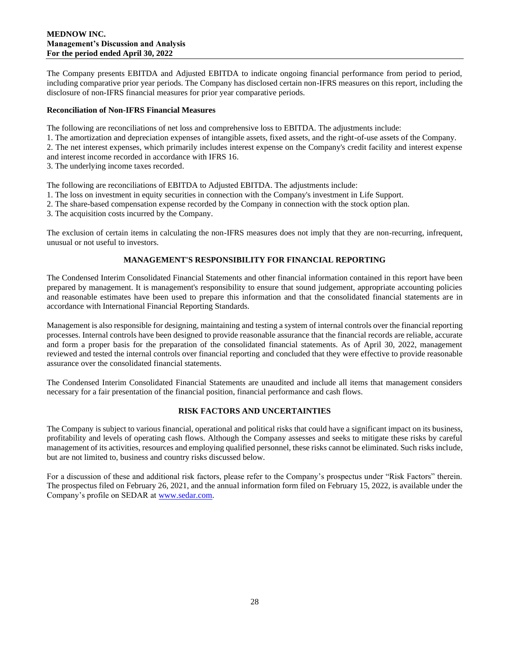The Company presents EBITDA and Adjusted EBITDA to indicate ongoing financial performance from period to period, including comparative prior year periods. The Company has disclosed certain non-IFRS measures on this report, including the disclosure of non-IFRS financial measures for prior year comparative periods.

### **Reconciliation of Non-IFRS Financial Measures**

The following are reconciliations of net loss and comprehensive loss to EBITDA. The adjustments include:

1. The amortization and depreciation expenses of intangible assets, fixed assets, and the right-of-use assets of the Company.

2. The net interest expenses, which primarily includes interest expense on the Company's credit facility and interest expense and interest income recorded in accordance with IFRS 16.

3. The underlying income taxes recorded.

The following are reconciliations of EBITDA to Adjusted EBITDA. The adjustments include:

- 1. The loss on investment in equity securities in connection with the Company's investment in Life Support.
- 2. The share-based compensation expense recorded by the Company in connection with the stock option plan.
- 3. The acquisition costs incurred by the Company.

The exclusion of certain items in calculating the non-IFRS measures does not imply that they are non-recurring, infrequent, unusual or not useful to investors.

## **MANAGEMENT'S RESPONSIBILITY FOR FINANCIAL REPORTING**

The Condensed Interim Consolidated Financial Statements and other financial information contained in this report have been prepared by management. It is management's responsibility to ensure that sound judgement, appropriate accounting policies and reasonable estimates have been used to prepare this information and that the consolidated financial statements are in accordance with International Financial Reporting Standards.

Management is also responsible for designing, maintaining and testing a system of internal controls over the financial reporting processes. Internal controls have been designed to provide reasonable assurance that the financial records are reliable, accurate and form a proper basis for the preparation of the consolidated financial statements. As of April 30, 2022, management reviewed and tested the internal controls over financial reporting and concluded that they were effective to provide reasonable assurance over the consolidated financial statements.

The Condensed Interim Consolidated Financial Statements are unaudited and include all items that management considers necessary for a fair presentation of the financial position, financial performance and cash flows.

# **RISK FACTORS AND UNCERTAINTIES**

The Company is subject to various financial, operational and political risks that could have a significant impact on its business, profitability and levels of operating cash flows. Although the Company assesses and seeks to mitigate these risks by careful management of its activities, resources and employing qualified personnel, these risks cannot be eliminated. Such risks include, but are not limited to, business and country risks discussed below.

For a discussion of these and additional risk factors, please refer to the Company's prospectus under "Risk Factors" therein. The prospectus filed on February 26, 2021, and the annual information form filed on February 15, 2022, is available under the Company's profile on SEDAR at [www.sedar.com.](http://www.sedar.com/)